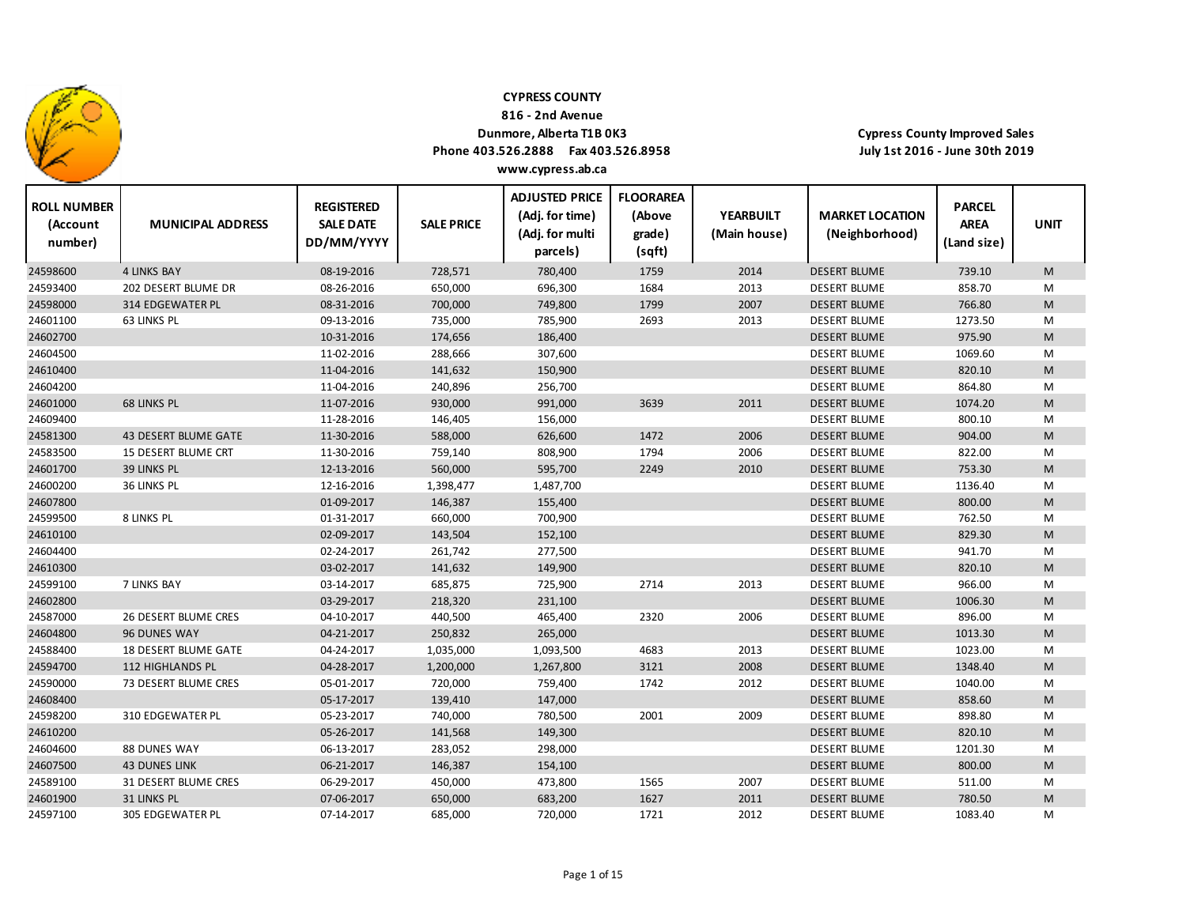

**816 ‐ 2nd Avenue**

### **Dunmore, Alberta T1B 0K3**

**Phone 403.526.2888 Fax 403.526.8958 www.cypress.ab.ca**

 $\top$ 

| <b>ROLL NUMBER</b><br>(Account<br>number) | <b>MUNICIPAL ADDRESS</b> | <b>REGISTERED</b><br><b>SALE DATE</b><br>DD/MM/YYYY | <b>SALE PRICE</b> | <b>ADJUSTED PRICE</b><br>(Adj. for time)<br>(Adj. for multi<br>parcels) | <b>FLOORAREA</b><br>(Above<br>grade)<br>(sqft) | <b>YEARBUILT</b><br>(Main house) | <b>MARKET LOCATION</b><br>(Neighborhood) | <b>PARCEL</b><br><b>AREA</b><br>(Land size) | <b>UNIT</b> |
|-------------------------------------------|--------------------------|-----------------------------------------------------|-------------------|-------------------------------------------------------------------------|------------------------------------------------|----------------------------------|------------------------------------------|---------------------------------------------|-------------|
| 24598600                                  | <b>4 LINKS BAY</b>       | 08-19-2016                                          | 728,571           | 780,400                                                                 | 1759                                           | 2014                             | <b>DESERT BLUME</b>                      | 739.10                                      | M           |
| 24593400                                  | 202 DESERT BLUME DR      | 08-26-2016                                          | 650,000           | 696,300                                                                 | 1684                                           | 2013                             | <b>DESERT BLUME</b>                      | 858.70                                      | M           |
| 24598000                                  | <b>314 EDGEWATER PL</b>  | 08-31-2016                                          | 700,000           | 749,800                                                                 | 1799                                           | 2007                             | <b>DESERT BLUME</b>                      | 766.80                                      | M           |
| 24601100                                  | 63 LINKS PL              | 09-13-2016                                          | 735,000           | 785,900                                                                 | 2693                                           | 2013                             | <b>DESERT BLUME</b>                      | 1273.50                                     | М           |
| 24602700                                  |                          | 10-31-2016                                          | 174,656           | 186,400                                                                 |                                                |                                  | <b>DESERT BLUME</b>                      | 975.90                                      | M           |
| 24604500                                  |                          | 11-02-2016                                          | 288,666           | 307,600                                                                 |                                                |                                  | <b>DESERT BLUME</b>                      | 1069.60                                     | М           |
| 24610400                                  |                          | 11-04-2016                                          | 141,632           | 150,900                                                                 |                                                |                                  | <b>DESERT BLUME</b>                      | 820.10                                      | M           |
| 24604200                                  |                          | 11-04-2016                                          | 240,896           | 256,700                                                                 |                                                |                                  | <b>DESERT BLUME</b>                      | 864.80                                      | М           |
| 24601000                                  | 68 LINKS PL              | 11-07-2016                                          | 930,000           | 991,000                                                                 | 3639                                           | 2011                             | <b>DESERT BLUME</b>                      | 1074.20                                     | M           |
| 24609400                                  |                          | 11-28-2016                                          | 146,405           | 156,000                                                                 |                                                |                                  | <b>DESERT BLUME</b>                      | 800.10                                      | M           |
| 24581300                                  | 43 DESERT BLUME GATE     | 11-30-2016                                          | 588,000           | 626,600                                                                 | 1472                                           | 2006                             | <b>DESERT BLUME</b>                      | 904.00                                      | M           |
| 24583500                                  | 15 DESERT BLUME CRT      | 11-30-2016                                          | 759,140           | 808,900                                                                 | 1794                                           | 2006                             | <b>DESERT BLUME</b>                      | 822.00                                      | M           |
| 24601700                                  | 39 LINKS PL              | 12-13-2016                                          | 560,000           | 595,700                                                                 | 2249                                           | 2010                             | <b>DESERT BLUME</b>                      | 753.30                                      | M           |
| 24600200                                  | 36 LINKS PL              | 12-16-2016                                          | 1,398,477         | 1,487,700                                                               |                                                |                                  | <b>DESERT BLUME</b>                      | 1136.40                                     | M           |
| 24607800                                  |                          | 01-09-2017                                          | 146,387           | 155,400                                                                 |                                                |                                  | <b>DESERT BLUME</b>                      | 800.00                                      | M           |
| 24599500                                  | 8 LINKS PL               | 01-31-2017                                          | 660,000           | 700,900                                                                 |                                                |                                  | <b>DESERT BLUME</b>                      | 762.50                                      | M           |
| 24610100                                  |                          | 02-09-2017                                          | 143,504           | 152,100                                                                 |                                                |                                  | <b>DESERT BLUME</b>                      | 829.30                                      | M           |
| 24604400                                  |                          | 02-24-2017                                          | 261,742           | 277,500                                                                 |                                                |                                  | <b>DESERT BLUME</b>                      | 941.70                                      | M           |
| 24610300                                  |                          | 03-02-2017                                          | 141,632           | 149,900                                                                 |                                                |                                  | <b>DESERT BLUME</b>                      | 820.10                                      | M           |
| 24599100                                  | <b>7 LINKS BAY</b>       | 03-14-2017                                          | 685,875           | 725,900                                                                 | 2714                                           | 2013                             | <b>DESERT BLUME</b>                      | 966.00                                      | M           |
| 24602800                                  |                          | 03-29-2017                                          | 218,320           | 231,100                                                                 |                                                |                                  | <b>DESERT BLUME</b>                      | 1006.30                                     | M           |
| 24587000                                  | 26 DESERT BLUME CRES     | 04-10-2017                                          | 440,500           | 465,400                                                                 | 2320                                           | 2006                             | <b>DESERT BLUME</b>                      | 896.00                                      | М           |
| 24604800                                  | 96 DUNES WAY             | 04-21-2017                                          | 250,832           | 265,000                                                                 |                                                |                                  | <b>DESERT BLUME</b>                      | 1013.30                                     | M           |
| 24588400                                  | 18 DESERT BLUME GATE     | 04-24-2017                                          | 1,035,000         | 1,093,500                                                               | 4683                                           | 2013                             | <b>DESERT BLUME</b>                      | 1023.00                                     | М           |
| 24594700                                  | <b>112 HIGHLANDS PL</b>  | 04-28-2017                                          | 1,200,000         | 1,267,800                                                               | 3121                                           | 2008                             | <b>DESERT BLUME</b>                      | 1348.40                                     | M           |
| 24590000                                  | 73 DESERT BLUME CRES     | 05-01-2017                                          | 720,000           | 759,400                                                                 | 1742                                           | 2012                             | <b>DESERT BLUME</b>                      | 1040.00                                     | M           |
| 24608400                                  |                          | 05-17-2017                                          | 139,410           | 147,000                                                                 |                                                |                                  | <b>DESERT BLUME</b>                      | 858.60                                      | M           |
| 24598200                                  | 310 EDGEWATER PL         | 05-23-2017                                          | 740,000           | 780,500                                                                 | 2001                                           | 2009                             | <b>DESERT BLUME</b>                      | 898.80                                      | M           |
| 24610200                                  |                          | 05-26-2017                                          | 141,568           | 149,300                                                                 |                                                |                                  | <b>DESERT BLUME</b>                      | 820.10                                      | M           |
| 24604600                                  | 88 DUNES WAY             | 06-13-2017                                          | 283,052           | 298,000                                                                 |                                                |                                  | <b>DESERT BLUME</b>                      | 1201.30                                     | М           |
| 24607500                                  | <b>43 DUNES LINK</b>     | 06-21-2017                                          | 146,387           | 154,100                                                                 |                                                |                                  | <b>DESERT BLUME</b>                      | 800.00                                      | M           |
| 24589100                                  | 31 DESERT BLUME CRES     | 06-29-2017                                          | 450,000           | 473,800                                                                 | 1565                                           | 2007                             | <b>DESERT BLUME</b>                      | 511.00                                      | М           |
| 24601900                                  | 31 LINKS PL              | 07-06-2017                                          | 650,000           | 683,200                                                                 | 1627                                           | 2011                             | <b>DESERT BLUME</b>                      | 780.50                                      | M           |
| 24597100                                  | <b>305 EDGEWATER PL</b>  | 07-14-2017                                          | 685,000           | 720,000                                                                 | 1721                                           | 2012                             | <b>DESERT BLUME</b>                      | 1083.40                                     | M           |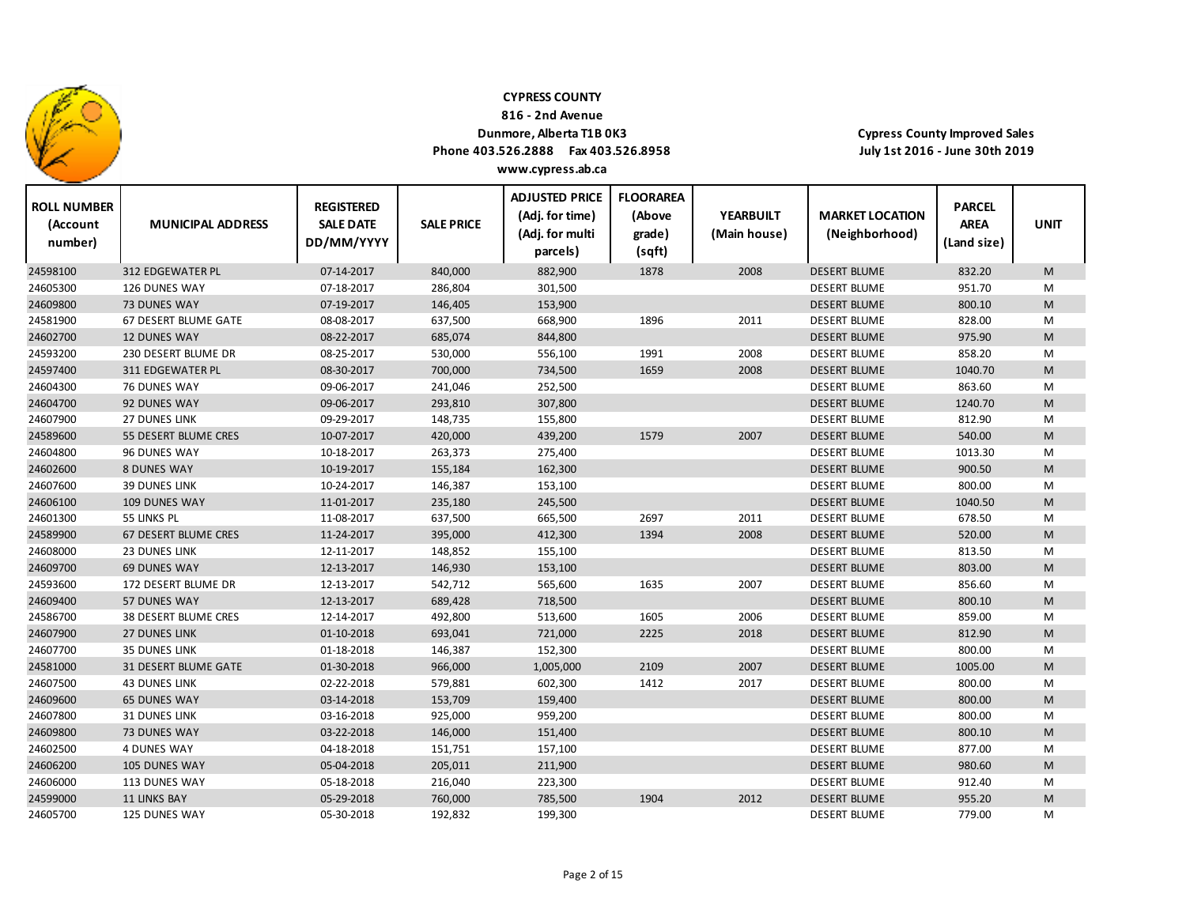

24605700 125 DUNES WAY

### **CYPRESS COUNTY**

**816 ‐ 2nd Avenue**

### **Dunmore, Alberta T1B 0K3**

**Phone 403.526.2888 Fax 403.526.8958 www.cypress.ab.ca**

**Cypress County Improved Sales July 1st 2016 ‐ June 30th 2019**

| <b>ROLL NUMBER</b><br>(Account<br>number) | <b>MUNICIPAL ADDRESS</b>    | <b>REGISTERED</b><br><b>SALE DATE</b><br>DD/MM/YYYY | <b>SALE PRICE</b> | <b>ADJUSTED PRICE</b><br>(Adj. for time)<br>(Adj. for multi<br>parcels) | <b>FLOORAREA</b><br>(Above<br>grade)<br>(sqft) | <b>YEARBUILT</b><br>(Main house) | <b>MARKET LOCATION</b><br>(Neighborhood) | <b>PARCEL</b><br><b>AREA</b><br>(Land size) | <b>UNIT</b> |
|-------------------------------------------|-----------------------------|-----------------------------------------------------|-------------------|-------------------------------------------------------------------------|------------------------------------------------|----------------------------------|------------------------------------------|---------------------------------------------|-------------|
| 24598100                                  | <b>312 EDGEWATER PL</b>     | 07-14-2017                                          | 840,000           | 882,900                                                                 | 1878                                           | 2008                             | <b>DESERT BLUME</b>                      | 832.20                                      | M           |
| 24605300                                  | 126 DUNES WAY               | 07-18-2017                                          | 286,804           | 301,500                                                                 |                                                |                                  | <b>DESERT BLUME</b>                      | 951.70                                      | M           |
| 24609800                                  | <b>73 DUNES WAY</b>         | 07-19-2017                                          | 146,405           | 153,900                                                                 |                                                |                                  | <b>DESERT BLUME</b>                      | 800.10                                      | M           |
| 24581900                                  | 67 DESERT BLUME GATE        | 08-08-2017                                          | 637,500           | 668,900                                                                 | 1896                                           | 2011                             | <b>DESERT BLUME</b>                      | 828.00                                      | M           |
| 24602700                                  | <b>12 DUNES WAY</b>         | 08-22-2017                                          | 685,074           | 844,800                                                                 |                                                |                                  | <b>DESERT BLUME</b>                      | 975.90                                      | M           |
| 24593200                                  | 230 DESERT BLUME DR         | 08-25-2017                                          | 530,000           | 556,100                                                                 | 1991                                           | 2008                             | <b>DESERT BLUME</b>                      | 858.20                                      | M           |
| 24597400                                  | 311 EDGEWATER PL            | 08-30-2017                                          | 700,000           | 734,500                                                                 | 1659                                           | 2008                             | <b>DESERT BLUME</b>                      | 1040.70                                     | M           |
| 24604300                                  | 76 DUNES WAY                | 09-06-2017                                          | 241,046           | 252,500                                                                 |                                                |                                  | <b>DESERT BLUME</b>                      | 863.60                                      | M           |
| 24604700                                  | 92 DUNES WAY                | 09-06-2017                                          | 293,810           | 307,800                                                                 |                                                |                                  | <b>DESERT BLUME</b>                      | 1240.70                                     | M           |
| 24607900                                  | <b>27 DUNES LINK</b>        | 09-29-2017                                          | 148,735           | 155,800                                                                 |                                                |                                  | <b>DESERT BLUME</b>                      | 812.90                                      | M           |
| 24589600                                  | 55 DESERT BLUME CRES        | 10-07-2017                                          | 420,000           | 439,200                                                                 | 1579                                           | 2007                             | <b>DESERT BLUME</b>                      | 540.00                                      | M           |
| 24604800                                  | 96 DUNES WAY                | 10-18-2017                                          | 263,373           | 275,400                                                                 |                                                |                                  | <b>DESERT BLUME</b>                      | 1013.30                                     | M           |
| 24602600                                  | <b>8 DUNES WAY</b>          | 10-19-2017                                          | 155,184           | 162,300                                                                 |                                                |                                  | <b>DESERT BLUME</b>                      | 900.50                                      | M           |
| 24607600                                  | <b>39 DUNES LINK</b>        | 10-24-2017                                          | 146,387           | 153,100                                                                 |                                                |                                  | <b>DESERT BLUME</b>                      | 800.00                                      | M           |
| 24606100                                  | 109 DUNES WAY               | 11-01-2017                                          | 235,180           | 245,500                                                                 |                                                |                                  | <b>DESERT BLUME</b>                      | 1040.50                                     | M           |
| 24601300                                  | 55 LINKS PL                 | 11-08-2017                                          | 637,500           | 665,500                                                                 | 2697                                           | 2011                             | <b>DESERT BLUME</b>                      | 678.50                                      | M           |
| 24589900                                  | 67 DESERT BLUME CRES        | 11-24-2017                                          | 395,000           | 412,300                                                                 | 1394                                           | 2008                             | <b>DESERT BLUME</b>                      | 520.00                                      | M           |
| 24608000                                  | <b>23 DUNES LINK</b>        | 12-11-2017                                          | 148,852           | 155,100                                                                 |                                                |                                  | <b>DESERT BLUME</b>                      | 813.50                                      | М           |
| 24609700                                  | <b>69 DUNES WAY</b>         | 12-13-2017                                          | 146,930           | 153,100                                                                 |                                                |                                  | <b>DESERT BLUME</b>                      | 803.00                                      | M           |
| 24593600                                  | 172 DESERT BLUME DR         | 12-13-2017                                          | 542,712           | 565,600                                                                 | 1635                                           | 2007                             | <b>DESERT BLUME</b>                      | 856.60                                      | M           |
| 24609400                                  | 57 DUNES WAY                | 12-13-2017                                          | 689,428           | 718,500                                                                 |                                                |                                  | <b>DESERT BLUME</b>                      | 800.10                                      | M           |
| 24586700                                  | <b>38 DESERT BLUME CRES</b> | 12-14-2017                                          | 492,800           | 513,600                                                                 | 1605                                           | 2006                             | <b>DESERT BLUME</b>                      | 859.00                                      | М           |
| 24607900                                  | <b>27 DUNES LINK</b>        | 01-10-2018                                          | 693,041           | 721,000                                                                 | 2225                                           | 2018                             | <b>DESERT BLUME</b>                      | 812.90                                      | M           |
| 24607700                                  | <b>35 DUNES LINK</b>        | 01-18-2018                                          | 146,387           | 152,300                                                                 |                                                |                                  | <b>DESERT BLUME</b>                      | 800.00                                      | M           |
| 24581000                                  | 31 DESERT BLUME GATE        | 01-30-2018                                          | 966,000           | 1,005,000                                                               | 2109                                           | 2007                             | <b>DESERT BLUME</b>                      | 1005.00                                     | M           |
| 24607500                                  | <b>43 DUNES LINK</b>        | 02-22-2018                                          | 579,881           | 602,300                                                                 | 1412                                           | 2017                             | <b>DESERT BLUME</b>                      | 800.00                                      | М           |
| 24609600                                  | <b>65 DUNES WAY</b>         | 03-14-2018                                          | 153,709           | 159,400                                                                 |                                                |                                  | <b>DESERT BLUME</b>                      | 800.00                                      | M           |
| 24607800                                  | <b>31 DUNES LINK</b>        | 03-16-2018                                          | 925,000           | 959,200                                                                 |                                                |                                  | <b>DESERT BLUME</b>                      | 800.00                                      | М           |
| 24609800                                  | 73 DUNES WAY                | 03-22-2018                                          | 146,000           | 151,400                                                                 |                                                |                                  | <b>DESERT BLUME</b>                      | 800.10                                      | M           |
| 24602500                                  | <b>4 DUNES WAY</b>          | 04-18-2018                                          | 151,751           | 157,100                                                                 |                                                |                                  | <b>DESERT BLUME</b>                      | 877.00                                      | М           |
| 24606200                                  | 105 DUNES WAY               | 05-04-2018                                          | 205,011           | 211,900                                                                 |                                                |                                  | <b>DESERT BLUME</b>                      | 980.60                                      | M           |
| 24606000                                  | 113 DUNES WAY               | 05-18-2018                                          | 216,040           | 223,300                                                                 |                                                |                                  | <b>DESERT BLUME</b>                      | 912.40                                      | M           |
| 24599000                                  | <b>11 LINKS BAY</b>         | 05-29-2018                                          | 760,000           | 785,500                                                                 | 1904                                           | 2012                             | <b>DESERT BLUME</b>                      | 955.20                                      | M           |

DUNES WAY 05‐30‐2018 192,832 199,300 DESERT BLUME 779.00 M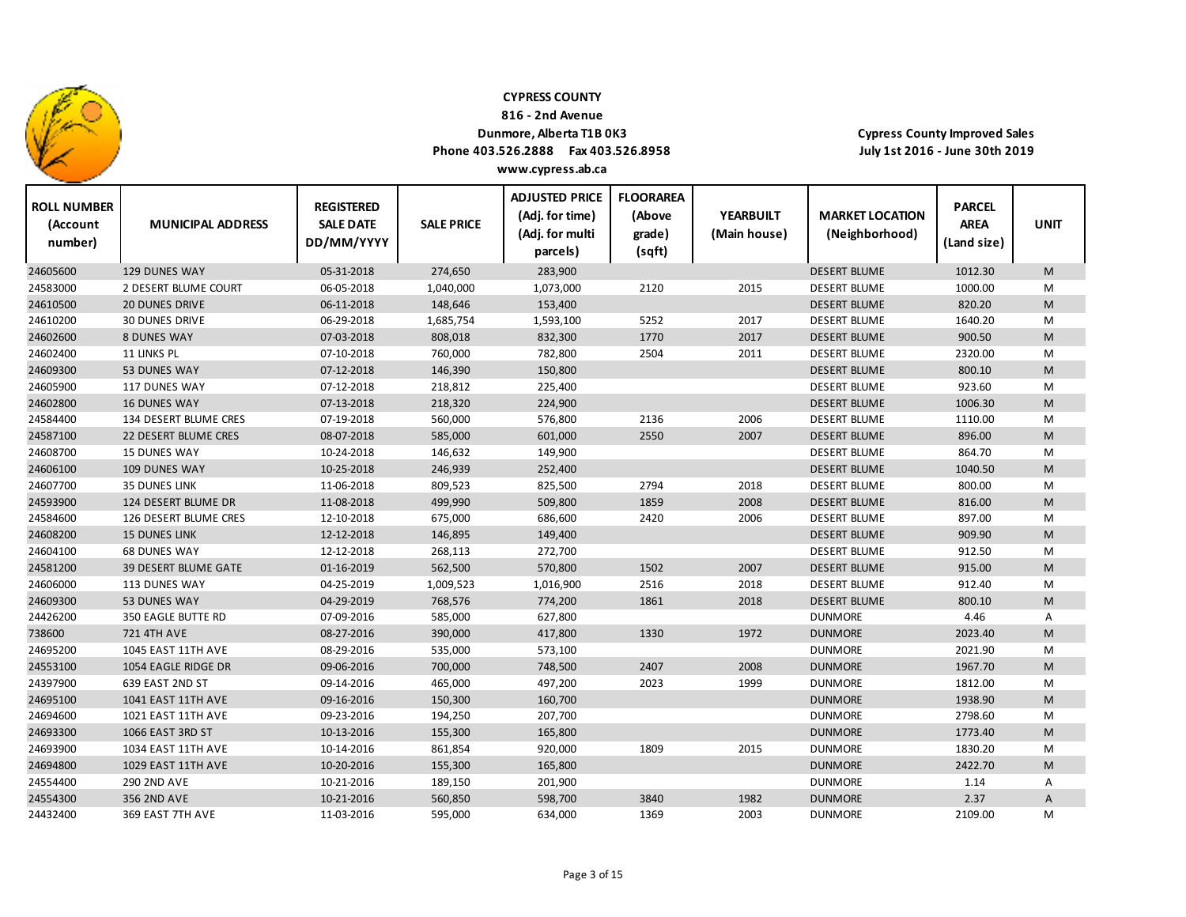

**816 ‐ 2nd Avenue**

### **Dunmore, Alberta T1B 0K3**

**Phone 403.526.2888 Fax 403.526.8958**

**Cypress County Improved Sales July 1st 2016 ‐ June 30th 2019**

| <b>ROLL NUMBER</b><br>(Account<br>number) | <b>MUNICIPAL ADDRESS</b>  | <b>REGISTERED</b><br><b>SALE DATE</b><br>DD/MM/YYYY | <b>SALE PRICE</b> | <b>ADJUSTED PRICE</b><br>(Adj. for time)<br>(Adj. for multi<br>parcels) | <b>FLOORAREA</b><br>(Above<br>grade)<br>(sqft) | <b>YEARBUILT</b><br>(Main house) | <b>MARKET LOCATION</b><br>(Neighborhood) | <b>PARCEL</b><br><b>AREA</b><br>(Land size) | <b>UNIT</b> |
|-------------------------------------------|---------------------------|-----------------------------------------------------|-------------------|-------------------------------------------------------------------------|------------------------------------------------|----------------------------------|------------------------------------------|---------------------------------------------|-------------|
| 24605600                                  | <b>129 DUNES WAY</b>      | 05-31-2018                                          | 274,650           | 283,900                                                                 |                                                |                                  | <b>DESERT BLUME</b>                      | 1012.30                                     | M           |
| 24583000                                  | 2 DESERT BLUME COURT      | 06-05-2018                                          | 1,040,000         | 1,073,000                                                               | 2120                                           | 2015                             | <b>DESERT BLUME</b>                      | 1000.00                                     | M           |
| 24610500                                  | <b>20 DUNES DRIVE</b>     | 06-11-2018                                          | 148,646           | 153,400                                                                 |                                                |                                  | <b>DESERT BLUME</b>                      | 820.20                                      | ${\sf M}$   |
| 24610200                                  | <b>30 DUNES DRIVE</b>     | 06-29-2018                                          | 1,685,754         | 1,593,100                                                               | 5252                                           | 2017                             | <b>DESERT BLUME</b>                      | 1640.20                                     | M           |
| 24602600                                  | <b>8 DUNES WAY</b>        | 07-03-2018                                          | 808,018           | 832,300                                                                 | 1770                                           | 2017                             | <b>DESERT BLUME</b>                      | 900.50                                      | ${\sf M}$   |
| 24602400                                  | 11 LINKS PL               | 07-10-2018                                          | 760,000           | 782,800                                                                 | 2504                                           | 2011                             | <b>DESERT BLUME</b>                      | 2320.00                                     | M           |
| 24609300                                  | 53 DUNES WAY              | 07-12-2018                                          | 146,390           | 150,800                                                                 |                                                |                                  | <b>DESERT BLUME</b>                      | 800.10                                      | M           |
| 24605900                                  | 117 DUNES WAY             | 07-12-2018                                          | 218,812           | 225,400                                                                 |                                                |                                  | <b>DESERT BLUME</b>                      | 923.60                                      | M           |
| 24602800                                  | <b>16 DUNES WAY</b>       | 07-13-2018                                          | 218,320           | 224,900                                                                 |                                                |                                  | <b>DESERT BLUME</b>                      | 1006.30                                     | M           |
| 24584400                                  | 134 DESERT BLUME CRES     | 07-19-2018                                          | 560,000           | 576,800                                                                 | 2136                                           | 2006                             | <b>DESERT BLUME</b>                      | 1110.00                                     | M           |
| 24587100                                  | 22 DESERT BLUME CRES      | 08-07-2018                                          | 585,000           | 601,000                                                                 | 2550                                           | 2007                             | <b>DESERT BLUME</b>                      | 896.00                                      | M           |
| 24608700                                  | 15 DUNES WAY              | 10-24-2018                                          | 146,632           | 149,900                                                                 |                                                |                                  | <b>DESERT BLUME</b>                      | 864.70                                      | M           |
| 24606100                                  | 109 DUNES WAY             | 10-25-2018                                          | 246,939           | 252,400                                                                 |                                                |                                  | <b>DESERT BLUME</b>                      | 1040.50                                     | M           |
| 24607700                                  | <b>35 DUNES LINK</b>      | 11-06-2018                                          | 809,523           | 825,500                                                                 | 2794                                           | 2018                             | <b>DESERT BLUME</b>                      | 800.00                                      | M           |
| 24593900                                  | 124 DESERT BLUME DR       | 11-08-2018                                          | 499,990           | 509,800                                                                 | 1859                                           | 2008                             | <b>DESERT BLUME</b>                      | 816.00                                      | M           |
| 24584600                                  | 126 DESERT BLUME CRES     | 12-10-2018                                          | 675,000           | 686,600                                                                 | 2420                                           | 2006                             | <b>DESERT BLUME</b>                      | 897.00                                      | M           |
| 24608200                                  | <b>15 DUNES LINK</b>      | 12-12-2018                                          | 146,895           | 149,400                                                                 |                                                |                                  | <b>DESERT BLUME</b>                      | 909.90                                      | M           |
| 24604100                                  | <b>68 DUNES WAY</b>       | 12-12-2018                                          | 268,113           | 272,700                                                                 |                                                |                                  | <b>DESERT BLUME</b>                      | 912.50                                      | M           |
| 24581200                                  | 39 DESERT BLUME GATE      | 01-16-2019                                          | 562,500           | 570,800                                                                 | 1502                                           | 2007                             | <b>DESERT BLUME</b>                      | 915.00                                      | M           |
| 24606000                                  | 113 DUNES WAY             | 04-25-2019                                          | 1,009,523         | 1,016,900                                                               | 2516                                           | 2018                             | <b>DESERT BLUME</b>                      | 912.40                                      | M           |
| 24609300                                  | 53 DUNES WAY              | 04-29-2019                                          | 768,576           | 774,200                                                                 | 1861                                           | 2018                             | <b>DESERT BLUME</b>                      | 800.10                                      | M           |
| 24426200                                  | 350 EAGLE BUTTE RD        | 07-09-2016                                          | 585,000           | 627,800                                                                 |                                                |                                  | <b>DUNMORE</b>                           | 4.46                                        | Α           |
| 738600                                    | <b>721 4TH AVE</b>        | 08-27-2016                                          | 390,000           | 417,800                                                                 | 1330                                           | 1972                             | <b>DUNMORE</b>                           | 2023.40                                     | M           |
| 24695200                                  | 1045 EAST 11TH AVE        | 08-29-2016                                          | 535,000           | 573,100                                                                 |                                                |                                  | <b>DUNMORE</b>                           | 2021.90                                     | M           |
| 24553100                                  | 1054 EAGLE RIDGE DR       | 09-06-2016                                          | 700,000           | 748,500                                                                 | 2407                                           | 2008                             | <b>DUNMORE</b>                           | 1967.70                                     | M           |
| 24397900                                  | 639 EAST 2ND ST           | 09-14-2016                                          | 465,000           | 497,200                                                                 | 2023                                           | 1999                             | <b>DUNMORE</b>                           | 1812.00                                     | M           |
| 24695100                                  | <b>1041 EAST 11TH AVE</b> | 09-16-2016                                          | 150,300           | 160,700                                                                 |                                                |                                  | <b>DUNMORE</b>                           | 1938.90                                     | M           |
| 24694600                                  | 1021 EAST 11TH AVE        | 09-23-2016                                          | 194,250           | 207,700                                                                 |                                                |                                  | <b>DUNMORE</b>                           | 2798.60                                     | М           |
| 24693300                                  | 1066 EAST 3RD ST          | 10-13-2016                                          | 155,300           | 165,800                                                                 |                                                |                                  | <b>DUNMORE</b>                           | 1773.40                                     | M           |
| 24693900                                  | 1034 EAST 11TH AVE        | 10-14-2016                                          | 861,854           | 920,000                                                                 | 1809                                           | 2015                             | <b>DUNMORE</b>                           | 1830.20                                     | M           |
| 24694800                                  | 1029 EAST 11TH AVE        | 10-20-2016                                          | 155,300           | 165,800                                                                 |                                                |                                  | <b>DUNMORE</b>                           | 2422.70                                     | M           |
| 24554400                                  | <b>290 2ND AVE</b>        | 10-21-2016                                          | 189,150           | 201,900                                                                 |                                                |                                  | <b>DUNMORE</b>                           | 1.14                                        | Α           |
| 24554300                                  | 356 2ND AVE               | 10-21-2016                                          | 560,850           | 598,700                                                                 | 3840                                           | 1982                             | <b>DUNMORE</b>                           | 2.37                                        | A           |
| 24432400                                  | 369 EAST 7TH AVE          | 11-03-2016                                          | 595,000           | 634,000                                                                 | 1369                                           | 2003                             | <b>DUNMORE</b>                           | 2109.00                                     | M           |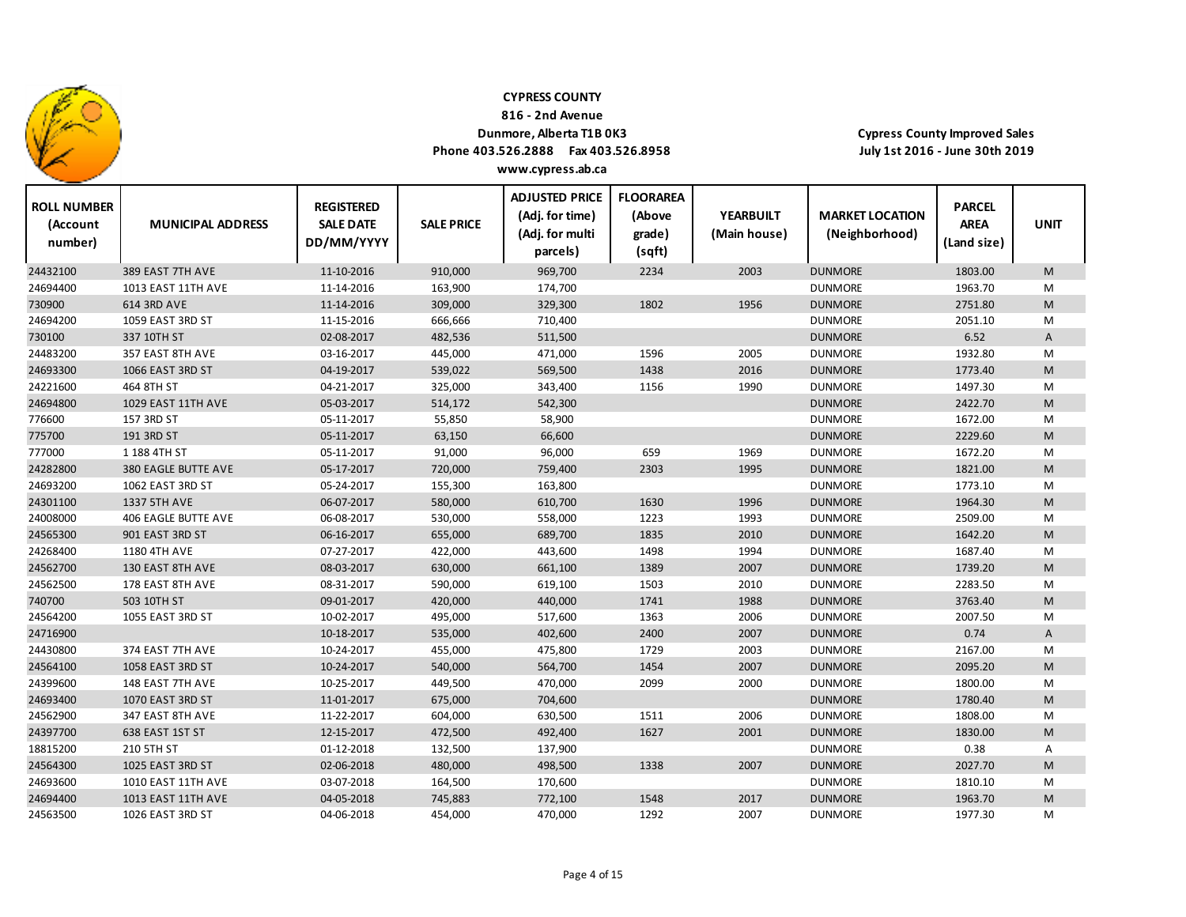

**ROLL NUMBER**

24694400

24563500

1013 EAST 11TH AVE

1026 EAST 3RD ST

### **CYPRESS COUNTY**

**816 ‐ 2nd Avenue**

### **Dunmore, Alberta T1B 0K3**

**Phone 403.526.2888 Fax 403.526.8958 www.cypress.ab.ca**

**ADJUSTED PRICE**

**FLOORAREA**

**REGISTERED**

**Cypress County Improved Sales July 1st 2016 ‐ June 30th 2019**

**PARCEL**

| <b>KULL NUMBER</b><br>(Account<br>number) | <b>MUNICIPAL ADDRESS</b>   | <b>KEGISTERED</b><br><b>SALE DATE</b><br>DD/MM/YYYY | <b>SALE PRICE</b> | (Adj. for time)<br>(Adj. for multi<br>parcels) | (Above<br>grade)<br>(sqft) | <b>YEARBUILT</b><br>(Main house) | <b>MARKET LOCATION</b><br>(Neighborhood) | <b>PARCEL</b><br><b>AREA</b><br>(Land size) | <b>UNIT</b> |
|-------------------------------------------|----------------------------|-----------------------------------------------------|-------------------|------------------------------------------------|----------------------------|----------------------------------|------------------------------------------|---------------------------------------------|-------------|
| 24432100                                  | 389 EAST 7TH AVE           | 11-10-2016                                          | 910,000           | 969,700                                        | 2234                       | 2003                             | <b>DUNMORE</b>                           | 1803.00                                     | M           |
| 24694400                                  | 1013 EAST 11TH AVE         | 11-14-2016                                          | 163,900           | 174,700                                        |                            |                                  | <b>DUNMORE</b>                           | 1963.70                                     | M           |
| 730900                                    | 614 3RD AVE                | 11-14-2016                                          | 309,000           | 329,300                                        | 1802                       | 1956                             | <b>DUNMORE</b>                           | 2751.80                                     | M           |
| 24694200                                  | 1059 EAST 3RD ST           | 11-15-2016                                          | 666,666           | 710,400                                        |                            |                                  | <b>DUNMORE</b>                           | 2051.10                                     | M           |
| 730100                                    | 337 10TH ST                | 02-08-2017                                          | 482,536           | 511,500                                        |                            |                                  | <b>DUNMORE</b>                           | 6.52                                        | A           |
| 24483200                                  | 357 EAST 8TH AVE           | 03-16-2017                                          | 445,000           | 471,000                                        | 1596                       | 2005                             | <b>DUNMORE</b>                           | 1932.80                                     | M           |
| 24693300                                  | 1066 EAST 3RD ST           | 04-19-2017                                          | 539,022           | 569,500                                        | 1438                       | 2016                             | <b>DUNMORE</b>                           | 1773.40                                     | M           |
| 24221600                                  | 464 8TH ST                 | 04-21-2017                                          | 325,000           | 343,400                                        | 1156                       | 1990                             | <b>DUNMORE</b>                           | 1497.30                                     | M           |
| 24694800                                  | 1029 EAST 11TH AVE         | 05-03-2017                                          | 514,172           | 542,300                                        |                            |                                  | <b>DUNMORE</b>                           | 2422.70                                     | M           |
| 776600                                    | 157 3RD ST                 | 05-11-2017                                          | 55,850            | 58,900                                         |                            |                                  | <b>DUNMORE</b>                           | 1672.00                                     | M           |
| 775700                                    | 191 3RD ST                 | 05-11-2017                                          | 63,150            | 66,600                                         |                            |                                  | <b>DUNMORE</b>                           | 2229.60                                     | M           |
| 777000                                    | 1 188 4TH ST               | 05-11-2017                                          | 91,000            | 96,000                                         | 659                        | 1969                             | <b>DUNMORE</b>                           | 1672.20                                     | М           |
| 24282800                                  | <b>380 EAGLE BUTTE AVE</b> | 05-17-2017                                          | 720,000           | 759,400                                        | 2303                       | 1995                             | <b>DUNMORE</b>                           | 1821.00                                     | M           |
| 24693200                                  | 1062 EAST 3RD ST           | 05-24-2017                                          | 155,300           | 163,800                                        |                            |                                  | <b>DUNMORE</b>                           | 1773.10                                     | M           |
| 24301100                                  | 1337 5TH AVE               | 06-07-2017                                          | 580,000           | 610,700                                        | 1630                       | 1996                             | <b>DUNMORE</b>                           | 1964.30                                     | M           |
| 24008000                                  | 406 EAGLE BUTTE AVE        | 06-08-2017                                          | 530,000           | 558,000                                        | 1223                       | 1993                             | <b>DUNMORE</b>                           | 2509.00                                     | M           |
| 24565300                                  | 901 EAST 3RD ST            | 06-16-2017                                          | 655,000           | 689,700                                        | 1835                       | 2010                             | <b>DUNMORE</b>                           | 1642.20                                     | M           |
| 24268400                                  | 1180 4TH AVE               | 07-27-2017                                          | 422,000           | 443,600                                        | 1498                       | 1994                             | <b>DUNMORE</b>                           | 1687.40                                     | М           |
| 24562700                                  | 130 EAST 8TH AVE           | 08-03-2017                                          | 630,000           | 661,100                                        | 1389                       | 2007                             | <b>DUNMORE</b>                           | 1739.20                                     | M           |
| 24562500                                  | 178 EAST 8TH AVE           | 08-31-2017                                          | 590,000           | 619,100                                        | 1503                       | 2010                             | <b>DUNMORE</b>                           | 2283.50                                     | м           |
| 740700                                    | 503 10TH ST                | 09-01-2017                                          | 420,000           | 440,000                                        | 1741                       | 1988                             | <b>DUNMORE</b>                           | 3763.40                                     | M           |
| 24564200                                  | 1055 EAST 3RD ST           | 10-02-2017                                          | 495,000           | 517,600                                        | 1363                       | 2006                             | <b>DUNMORE</b>                           | 2007.50                                     | M           |
| 24716900                                  |                            | 10-18-2017                                          | 535,000           | 402,600                                        | 2400                       | 2007                             | <b>DUNMORE</b>                           | 0.74                                        | Α           |
| 24430800                                  | 374 EAST 7TH AVE           | 10-24-2017                                          | 455,000           | 475,800                                        | 1729                       | 2003                             | <b>DUNMORE</b>                           | 2167.00                                     | M           |
| 24564100                                  | 1058 EAST 3RD ST           | 10-24-2017                                          | 540,000           | 564,700                                        | 1454                       | 2007                             | <b>DUNMORE</b>                           | 2095.20                                     | M           |
| 24399600                                  | 148 EAST 7TH AVE           | 10-25-2017                                          | 449,500           | 470,000                                        | 2099                       | 2000                             | <b>DUNMORE</b>                           | 1800.00                                     | M           |
| 24693400                                  | 1070 EAST 3RD ST           | 11-01-2017                                          | 675,000           | 704,600                                        |                            |                                  | <b>DUNMORE</b>                           | 1780.40                                     | M           |
| 24562900                                  | 347 EAST 8TH AVE           | 11-22-2017                                          | 604,000           | 630,500                                        | 1511                       | 2006                             | <b>DUNMORE</b>                           | 1808.00                                     | М           |
| 24397700                                  | 638 EAST 1ST ST            | 12-15-2017                                          | 472,500           | 492,400                                        | 1627                       | 2001                             | <b>DUNMORE</b>                           | 1830.00                                     | M           |
| 18815200                                  | 210 5TH ST                 | 01-12-2018                                          | 132,500           | 137,900                                        |                            |                                  | <b>DUNMORE</b>                           | 0.38                                        | А           |
| 24564300                                  | 1025 EAST 3RD ST           | 02-06-2018                                          | 480,000           | 498,500                                        | 1338                       | 2007                             | <b>DUNMORE</b>                           | 2027.70                                     | M           |
| 24693600                                  | 1010 EAST 11TH AVE         | 03-07-2018                                          | 164,500           | 170,600                                        |                            |                                  | <b>DUNMORE</b>                           | 1810.10                                     | M           |

AVE 04‐05‐2018 745,883 772,100 1548 2017 DUNMORE 1963.70 M

ST 04‐06‐2018 454,000 470,000 1292 2007 DUNMORE 1977.30 M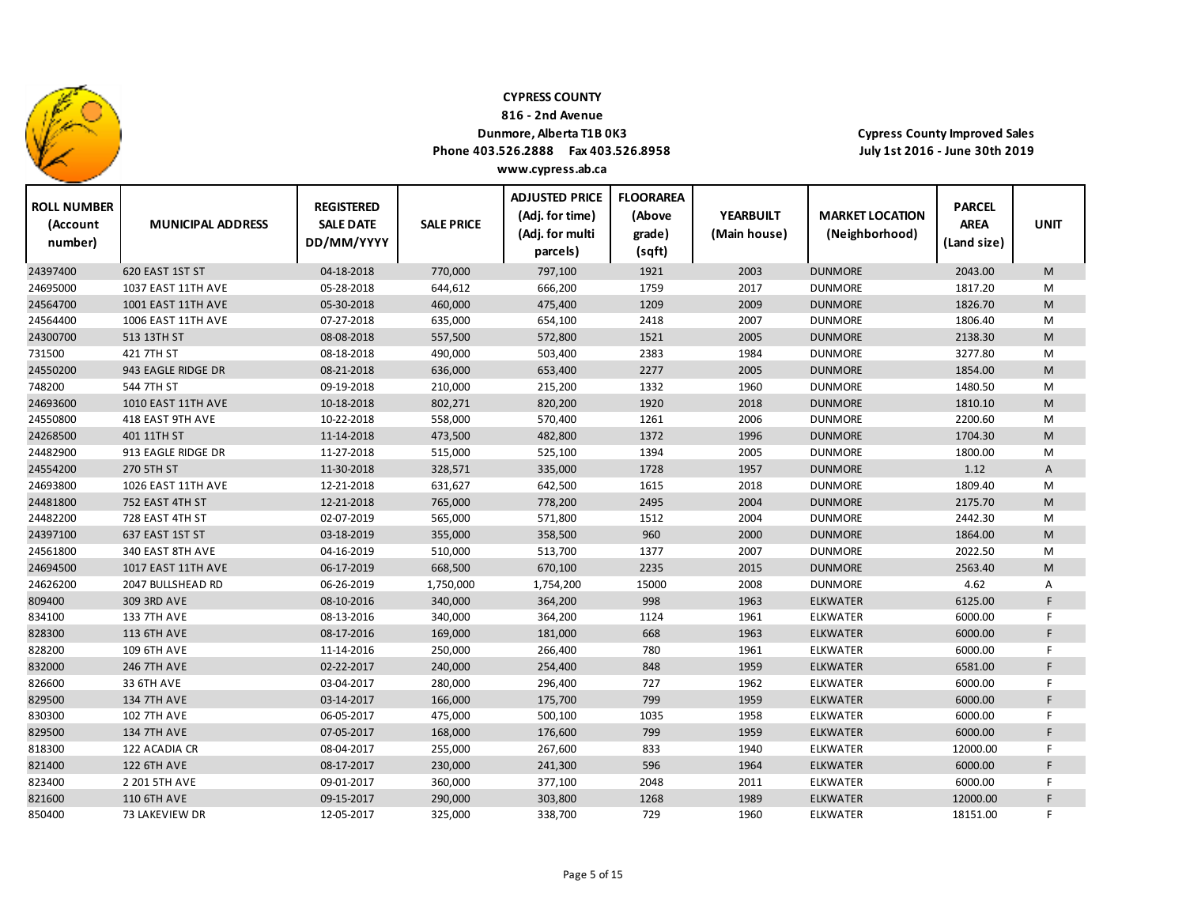

**816 ‐ 2nd Avenue**

## **Dunmore, Alberta T1B 0K3**

**Phone 403.526.2888 Fax 403.526.8958**

**Cypress County Improved Sales July 1st 2016 ‐ June 30th 2019**

| <b>ROLL NUMBER</b><br>(Account<br>number) | <b>MUNICIPAL ADDRESS</b>  | <b>REGISTERED</b><br><b>SALE DATE</b><br>DD/MM/YYYY | <b>SALE PRICE</b> | <b>ADJUSTED PRICE</b><br>(Adj. for time)<br>(Adj. for multi<br>parcels) | <b>FLOORAREA</b><br>(Above<br>grade)<br>(sqft) | <b>YEARBUILT</b><br>(Main house) | <b>MARKET LOCATION</b><br>(Neighborhood) | <b>PARCEL</b><br><b>AREA</b><br>(Land size) | <b>UNIT</b> |
|-------------------------------------------|---------------------------|-----------------------------------------------------|-------------------|-------------------------------------------------------------------------|------------------------------------------------|----------------------------------|------------------------------------------|---------------------------------------------|-------------|
| 24397400                                  | 620 EAST 1ST ST           | 04-18-2018                                          | 770,000           | 797,100                                                                 | 1921                                           | 2003                             | <b>DUNMORE</b>                           | 2043.00                                     | M           |
| 24695000                                  | <b>1037 EAST 11TH AVE</b> | 05-28-2018                                          | 644,612           | 666,200                                                                 | 1759                                           | 2017                             | <b>DUNMORE</b>                           | 1817.20                                     | М           |
| 24564700                                  | 1001 EAST 11TH AVE        | 05-30-2018                                          | 460,000           | 475,400                                                                 | 1209                                           | 2009                             | <b>DUNMORE</b>                           | 1826.70                                     | M           |
| 24564400                                  | 1006 EAST 11TH AVE        | 07-27-2018                                          | 635,000           | 654,100                                                                 | 2418                                           | 2007                             | <b>DUNMORE</b>                           | 1806.40                                     | M           |
| 24300700                                  | 513 13TH ST               | 08-08-2018                                          | 557,500           | 572,800                                                                 | 1521                                           | 2005                             | <b>DUNMORE</b>                           | 2138.30                                     | M           |
| 731500                                    | 421 7TH ST                | 08-18-2018                                          | 490,000           | 503,400                                                                 | 2383                                           | 1984                             | <b>DUNMORE</b>                           | 3277.80                                     | М           |
| 24550200                                  | 943 EAGLE RIDGE DR        | 08-21-2018                                          | 636,000           | 653,400                                                                 | 2277                                           | 2005                             | <b>DUNMORE</b>                           | 1854.00                                     | M           |
| 748200                                    | 544 7TH ST                | 09-19-2018                                          | 210,000           | 215,200                                                                 | 1332                                           | 1960                             | <b>DUNMORE</b>                           | 1480.50                                     | M           |
| 24693600                                  | 1010 EAST 11TH AVE        | 10-18-2018                                          | 802,271           | 820,200                                                                 | 1920                                           | 2018                             | <b>DUNMORE</b>                           | 1810.10                                     | M           |
| 24550800                                  | 418 EAST 9TH AVE          | 10-22-2018                                          | 558,000           | 570,400                                                                 | 1261                                           | 2006                             | <b>DUNMORE</b>                           | 2200.60                                     | Μ           |
| 24268500                                  | 401 11TH ST               | 11-14-2018                                          | 473,500           | 482,800                                                                 | 1372                                           | 1996                             | <b>DUNMORE</b>                           | 1704.30                                     | M           |
| 24482900                                  | 913 EAGLE RIDGE DR        | 11-27-2018                                          | 515,000           | 525,100                                                                 | 1394                                           | 2005                             | <b>DUNMORE</b>                           | 1800.00                                     | M           |
| 24554200                                  | 270 5TH ST                | 11-30-2018                                          | 328,571           | 335,000                                                                 | 1728                                           | 1957                             | <b>DUNMORE</b>                           | 1.12                                        | A           |
| 24693800                                  | 1026 EAST 11TH AVE        | 12-21-2018                                          | 631,627           | 642,500                                                                 | 1615                                           | 2018                             | <b>DUNMORE</b>                           | 1809.40                                     | Μ           |
| 24481800                                  | 752 EAST 4TH ST           | 12-21-2018                                          | 765,000           | 778,200                                                                 | 2495                                           | 2004                             | <b>DUNMORE</b>                           | 2175.70                                     | M           |
| 24482200                                  | 728 EAST 4TH ST           | 02-07-2019                                          | 565,000           | 571,800                                                                 | 1512                                           | 2004                             | <b>DUNMORE</b>                           | 2442.30                                     | M           |
| 24397100                                  | 637 EAST 1ST ST           | 03-18-2019                                          | 355,000           | 358,500                                                                 | 960                                            | 2000                             | <b>DUNMORE</b>                           | 1864.00                                     | M           |
| 24561800                                  | 340 EAST 8TH AVE          | 04-16-2019                                          | 510,000           | 513,700                                                                 | 1377                                           | 2007                             | <b>DUNMORE</b>                           | 2022.50                                     | Μ           |
| 24694500                                  | 1017 EAST 11TH AVE        | 06-17-2019                                          | 668,500           | 670,100                                                                 | 2235                                           | 2015                             | <b>DUNMORE</b>                           | 2563.40                                     | M           |
| 24626200                                  | 2047 BULLSHEAD RD         | 06-26-2019                                          | 1,750,000         | 1,754,200                                                               | 15000                                          | 2008                             | <b>DUNMORE</b>                           | 4.62                                        | Α           |
| 809400                                    | 309 3RD AVE               | 08-10-2016                                          | 340,000           | 364,200                                                                 | 998                                            | 1963                             | <b>ELKWATER</b>                          | 6125.00                                     | F.          |
| 834100                                    | <b>133 7TH AVE</b>        | 08-13-2016                                          | 340,000           | 364,200                                                                 | 1124                                           | 1961                             | <b>ELKWATER</b>                          | 6000.00                                     | F           |
| 828300                                    | <b>113 6TH AVE</b>        | 08-17-2016                                          | 169,000           | 181,000                                                                 | 668                                            | 1963                             | <b>ELKWATER</b>                          | 6000.00                                     | F.          |
| 828200                                    | <b>109 6TH AVE</b>        | 11-14-2016                                          | 250,000           | 266,400                                                                 | 780                                            | 1961                             | <b>ELKWATER</b>                          | 6000.00                                     | F.          |
| 832000                                    | <b>246 7TH AVE</b>        | 02-22-2017                                          | 240,000           | 254,400                                                                 | 848                                            | 1959                             | <b>ELKWATER</b>                          | 6581.00                                     | F.          |
| 826600                                    | 33 6TH AVE                | 03-04-2017                                          | 280,000           | 296,400                                                                 | 727                                            | 1962                             | <b>ELKWATER</b>                          | 6000.00                                     | F.          |
| 829500                                    | <b>134 7TH AVE</b>        | 03-14-2017                                          | 166,000           | 175,700                                                                 | 799                                            | 1959                             | <b>ELKWATER</b>                          | 6000.00                                     | F           |
| 830300                                    | <b>102 7TH AVE</b>        | 06-05-2017                                          | 475,000           | 500,100                                                                 | 1035                                           | 1958                             | <b>ELKWATER</b>                          | 6000.00                                     | F.          |
| 829500                                    | <b>134 7TH AVE</b>        | 07-05-2017                                          | 168,000           | 176,600                                                                 | 799                                            | 1959                             | <b>ELKWATER</b>                          | 6000.00                                     | F.          |
| 818300                                    | 122 ACADIA CR             | 08-04-2017                                          | 255,000           | 267,600                                                                 | 833                                            | 1940                             | <b>ELKWATER</b>                          | 12000.00                                    | F.          |
| 821400                                    | <b>122 6TH AVE</b>        | 08-17-2017                                          | 230,000           | 241,300                                                                 | 596                                            | 1964                             | <b>ELKWATER</b>                          | 6000.00                                     | F.          |
| 823400                                    | 2 201 5TH AVE             | 09-01-2017                                          | 360,000           | 377,100                                                                 | 2048                                           | 2011                             | <b>ELKWATER</b>                          | 6000.00                                     | F.          |
| 821600                                    | <b>110 6TH AVE</b>        | 09-15-2017                                          | 290,000           | 303,800                                                                 | 1268                                           | 1989                             | <b>ELKWATER</b>                          | 12000.00                                    | F.          |
| 850400                                    | 73 LAKEVIEW DR            | 12-05-2017                                          | 325,000           | 338,700                                                                 | 729                                            | 1960                             | <b>ELKWATER</b>                          | 18151.00                                    | F.          |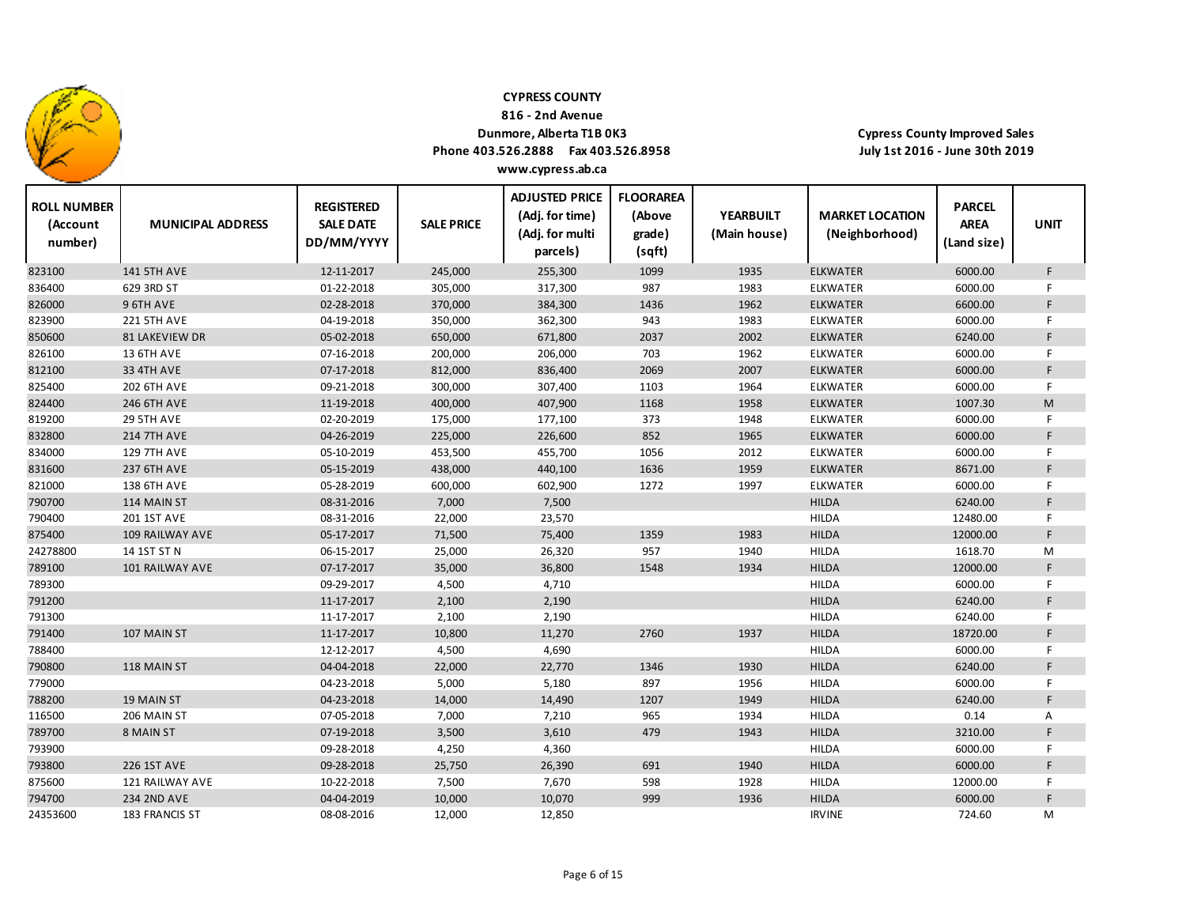

**816 ‐ 2nd Avenue**

## **Dunmore, Alberta T1B 0K3**

**Phone 403.526.2888 Fax 403.526.8958 www.cypress.ab.ca**

| <b>ROLL NUMBER</b><br>(Account<br>number) | <b>MUNICIPAL ADDRESS</b> | <b>REGISTERED</b><br><b>SALE DATE</b><br>DD/MM/YYYY | <b>SALE PRICE</b> | <b>ADJUSTED PRICE</b><br>(Adj. for time)<br>(Adj. for multi<br>parcels) | <b>FLOORAREA</b><br>(Above<br>grade)<br>(sqft) | <b>YEARBUILT</b><br>(Main house) | <b>MARKET LOCATION</b><br>(Neighborhood) | <b>PARCEL</b><br><b>AREA</b><br>(Land size) | <b>UNIT</b> |
|-------------------------------------------|--------------------------|-----------------------------------------------------|-------------------|-------------------------------------------------------------------------|------------------------------------------------|----------------------------------|------------------------------------------|---------------------------------------------|-------------|
| 823100                                    | <b>141 5TH AVE</b>       | 12-11-2017                                          | 245,000           | 255,300                                                                 | 1099                                           | 1935                             | <b>ELKWATER</b>                          | 6000.00                                     | F           |
| 836400                                    | 629 3RD ST               | 01-22-2018                                          | 305,000           | 317,300                                                                 | 987                                            | 1983                             | ELKWATER                                 | 6000.00                                     | F           |
| 826000                                    | 9 6TH AVE                | 02-28-2018                                          | 370,000           | 384,300                                                                 | 1436                                           | 1962                             | <b>ELKWATER</b>                          | 6600.00                                     | F           |
| 823900                                    | <b>221 5TH AVE</b>       | 04-19-2018                                          | 350,000           | 362,300                                                                 | 943                                            | 1983                             | <b>ELKWATER</b>                          | 6000.00                                     | F           |
| 850600                                    | 81 LAKEVIEW DR           | 05-02-2018                                          | 650,000           | 671,800                                                                 | 2037                                           | 2002                             | <b>ELKWATER</b>                          | 6240.00                                     | F           |
| 826100                                    | 13 6TH AVE               | 07-16-2018                                          | 200,000           | 206,000                                                                 | 703                                            | 1962                             | <b>ELKWATER</b>                          | 6000.00                                     | F.          |
| 812100                                    | <b>33 4TH AVE</b>        | 07-17-2018                                          | 812,000           | 836,400                                                                 | 2069                                           | 2007                             | <b>ELKWATER</b>                          | 6000.00                                     | F           |
| 825400                                    | <b>202 6TH AVE</b>       | 09-21-2018                                          | 300,000           | 307,400                                                                 | 1103                                           | 1964                             | ELKWATER                                 | 6000.00                                     | F.          |
| 824400                                    | 246 6TH AVE              | 11-19-2018                                          | 400,000           | 407,900                                                                 | 1168                                           | 1958                             | <b>ELKWATER</b>                          | 1007.30                                     | M           |
| 819200                                    | 29 5TH AVE               | 02-20-2019                                          | 175,000           | 177,100                                                                 | 373                                            | 1948                             | ELKWATER                                 | 6000.00                                     | F           |
| 832800                                    | <b>214 7TH AVE</b>       | 04-26-2019                                          | 225,000           | 226,600                                                                 | 852                                            | 1965                             | <b>ELKWATER</b>                          | 6000.00                                     | F           |
| 834000                                    | <b>129 7TH AVE</b>       | 05-10-2019                                          | 453,500           | 455,700                                                                 | 1056                                           | 2012                             | ELKWATER                                 | 6000.00                                     | F           |
| 831600                                    | <b>237 6TH AVE</b>       | 05-15-2019                                          | 438,000           | 440,100                                                                 | 1636                                           | 1959                             | <b>ELKWATER</b>                          | 8671.00                                     | F           |
| 821000                                    | <b>138 6TH AVE</b>       | 05-28-2019                                          | 600,000           | 602,900                                                                 | 1272                                           | 1997                             | <b>ELKWATER</b>                          | 6000.00                                     | F.          |
| 790700                                    | 114 MAIN ST              | 08-31-2016                                          | 7,000             | 7,500                                                                   |                                                |                                  | <b>HILDA</b>                             | 6240.00                                     | F           |
| 790400                                    | 201 1ST AVE              | 08-31-2016                                          | 22,000            | 23,570                                                                  |                                                |                                  | <b>HILDA</b>                             | 12480.00                                    | F           |
| 875400                                    | 109 RAILWAY AVE          | 05-17-2017                                          | 71,500            | 75,400                                                                  | 1359                                           | 1983                             | <b>HILDA</b>                             | 12000.00                                    | F           |
| 24278800                                  | 14 1ST ST N              | 06-15-2017                                          | 25,000            | 26,320                                                                  | 957                                            | 1940                             | <b>HILDA</b>                             | 1618.70                                     | M           |
| 789100                                    | 101 RAILWAY AVE          | 07-17-2017                                          | 35,000            | 36,800                                                                  | 1548                                           | 1934                             | <b>HILDA</b>                             | 12000.00                                    | F           |
| 789300                                    |                          | 09-29-2017                                          | 4,500             | 4,710                                                                   |                                                |                                  | <b>HILDA</b>                             | 6000.00                                     | F           |
| 791200                                    |                          | 11-17-2017                                          | 2,100             | 2,190                                                                   |                                                |                                  | <b>HILDA</b>                             | 6240.00                                     | F           |
| 791300                                    |                          | 11-17-2017                                          | 2,100             | 2,190                                                                   |                                                |                                  | <b>HILDA</b>                             | 6240.00                                     | F           |
| 791400                                    | 107 MAIN ST              | 11-17-2017                                          | 10,800            | 11,270                                                                  | 2760                                           | 1937                             | <b>HILDA</b>                             | 18720.00                                    | F.          |
| 788400                                    |                          | 12-12-2017                                          | 4,500             | 4,690                                                                   |                                                |                                  | <b>HILDA</b>                             | 6000.00                                     | F.          |
| 790800                                    | 118 MAIN ST              | 04-04-2018                                          | 22,000            | 22,770                                                                  | 1346                                           | 1930                             | <b>HILDA</b>                             | 6240.00                                     | F           |
| 779000                                    |                          | 04-23-2018                                          | 5,000             | 5,180                                                                   | 897                                            | 1956                             | <b>HILDA</b>                             | 6000.00                                     | F.          |
| 788200                                    | 19 MAIN ST               | 04-23-2018                                          | 14,000            | 14,490                                                                  | 1207                                           | 1949                             | <b>HILDA</b>                             | 6240.00                                     | F           |
| 116500                                    | 206 MAIN ST              | 07-05-2018                                          | 7,000             | 7,210                                                                   | 965                                            | 1934                             | <b>HILDA</b>                             | 0.14                                        | Α           |
| 789700                                    | 8 MAIN ST                | 07-19-2018                                          | 3,500             | 3,610                                                                   | 479                                            | 1943                             | <b>HILDA</b>                             | 3210.00                                     | F           |
| 793900                                    |                          | 09-28-2018                                          | 4,250             | 4,360                                                                   |                                                |                                  | <b>HILDA</b>                             | 6000.00                                     | F           |
| 793800                                    | 226 1ST AVE              | 09-28-2018                                          | 25,750            | 26,390                                                                  | 691                                            | 1940                             | <b>HILDA</b>                             | 6000.00                                     | F.          |
| 875600                                    | 121 RAILWAY AVE          | 10-22-2018                                          | 7,500             | 7,670                                                                   | 598                                            | 1928                             | <b>HILDA</b>                             | 12000.00                                    | F           |
| 794700                                    | <b>234 2ND AVE</b>       | 04-04-2019                                          | 10,000            | 10,070                                                                  | 999                                            | 1936                             | <b>HILDA</b>                             | 6000.00                                     | F           |
| 24353600                                  | 183 FRANCIS ST           | 08-08-2016                                          | 12,000            | 12,850                                                                  |                                                |                                  | <b>IRVINE</b>                            | 724.60                                      | M           |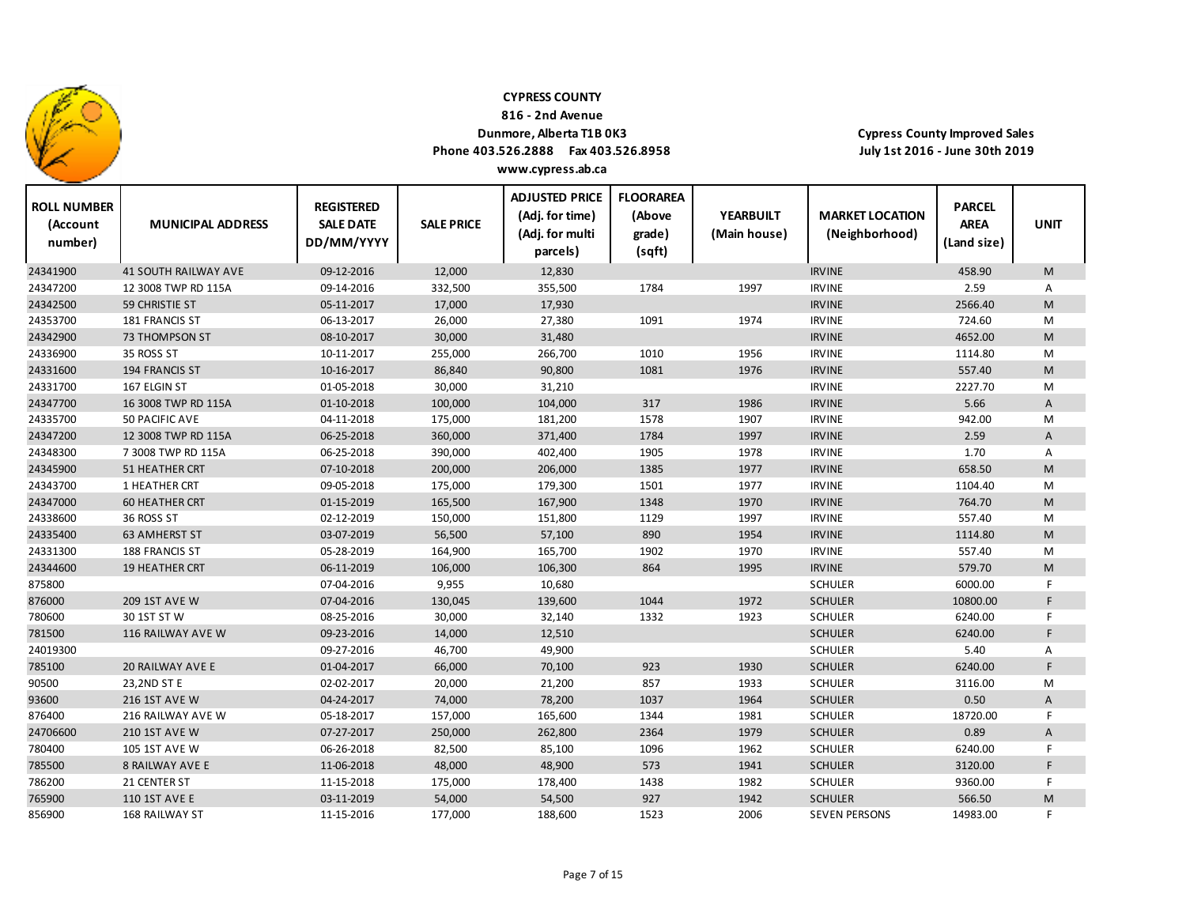

**816 ‐ 2nd Avenue**

## **Dunmore, Alberta T1B 0K3**

**Phone 403.526.2888 Fax 403.526.8958**

**Cypress County Improved Sales July 1st 2016 ‐ June 30th 2019**

| <b>ROLL NUMBER</b><br>(Account<br>number) | <b>MUNICIPAL ADDRESS</b>    | <b>REGISTERED</b><br><b>SALE DATE</b><br>DD/MM/YYYY | <b>SALE PRICE</b> | <b>ADJUSTED PRICE</b><br>(Adj. for time)<br>(Adj. for multi<br>parcels) | <b>FLOORAREA</b><br>(Above<br>grade)<br>(sqft) | <b>YEARBUILT</b><br>(Main house) | <b>MARKET LOCATION</b><br>(Neighborhood) | <b>PARCEL</b><br><b>AREA</b><br>(Land size) | <b>UNIT</b>  |
|-------------------------------------------|-----------------------------|-----------------------------------------------------|-------------------|-------------------------------------------------------------------------|------------------------------------------------|----------------------------------|------------------------------------------|---------------------------------------------|--------------|
| 24341900                                  | <b>41 SOUTH RAILWAY AVE</b> | 09-12-2016                                          | 12,000            | 12,830                                                                  |                                                |                                  | <b>IRVINE</b>                            | 458.90                                      | M            |
| 24347200                                  | 12 3008 TWP RD 115A         | 09-14-2016                                          | 332,500           | 355,500                                                                 | 1784                                           | 1997                             | <b>IRVINE</b>                            | 2.59                                        | Α            |
| 24342500                                  | 59 CHRISTIE ST              | 05-11-2017                                          | 17,000            | 17,930                                                                  |                                                |                                  | <b>IRVINE</b>                            | 2566.40                                     | ${\sf M}$    |
| 24353700                                  | 181 FRANCIS ST              | 06-13-2017                                          | 26,000            | 27,380                                                                  | 1091                                           | 1974                             | <b>IRVINE</b>                            | 724.60                                      | M            |
| 24342900                                  | 73 THOMPSON ST              | 08-10-2017                                          | 30,000            | 31,480                                                                  |                                                |                                  | <b>IRVINE</b>                            | 4652.00                                     | ${\sf M}$    |
| 24336900                                  | 35 ROSS ST                  | 10-11-2017                                          | 255,000           | 266,700                                                                 | 1010                                           | 1956                             | <b>IRVINE</b>                            | 1114.80                                     | M            |
| 24331600                                  | 194 FRANCIS ST              | 10-16-2017                                          | 86,840            | 90,800                                                                  | 1081                                           | 1976                             | <b>IRVINE</b>                            | 557.40                                      | M            |
| 24331700                                  | 167 ELGIN ST                | 01-05-2018                                          | 30,000            | 31,210                                                                  |                                                |                                  | <b>IRVINE</b>                            | 2227.70                                     | M            |
| 24347700                                  | 16 3008 TWP RD 115A         | 01-10-2018                                          | 100,000           | 104,000                                                                 | 317                                            | 1986                             | <b>IRVINE</b>                            | 5.66                                        | A            |
| 24335700                                  | 50 PACIFIC AVE              | 04-11-2018                                          | 175,000           | 181,200                                                                 | 1578                                           | 1907                             | <b>IRVINE</b>                            | 942.00                                      | M            |
| 24347200                                  | 12 3008 TWP RD 115A         | 06-25-2018                                          | 360,000           | 371,400                                                                 | 1784                                           | 1997                             | <b>IRVINE</b>                            | 2.59                                        | A            |
| 24348300                                  | 7 3008 TWP RD 115A          | 06-25-2018                                          | 390,000           | 402,400                                                                 | 1905                                           | 1978                             | <b>IRVINE</b>                            | 1.70                                        | Α            |
| 24345900                                  | 51 HEATHER CRT              | 07-10-2018                                          | 200,000           | 206,000                                                                 | 1385                                           | 1977                             | <b>IRVINE</b>                            | 658.50                                      | M            |
| 24343700                                  | 1 HEATHER CRT               | 09-05-2018                                          | 175,000           | 179,300                                                                 | 1501                                           | 1977                             | <b>IRVINE</b>                            | 1104.40                                     | M            |
| 24347000                                  | <b>60 HEATHER CRT</b>       | 01-15-2019                                          | 165,500           | 167,900                                                                 | 1348                                           | 1970                             | <b>IRVINE</b>                            | 764.70                                      | M            |
| 24338600                                  | 36 ROSS ST                  | 02-12-2019                                          | 150,000           | 151,800                                                                 | 1129                                           | 1997                             | <b>IRVINE</b>                            | 557.40                                      | M            |
| 24335400                                  | <b>63 AMHERST ST</b>        | 03-07-2019                                          | 56,500            | 57,100                                                                  | 890                                            | 1954                             | <b>IRVINE</b>                            | 1114.80                                     | M            |
| 24331300                                  | 188 FRANCIS ST              | 05-28-2019                                          | 164,900           | 165,700                                                                 | 1902                                           | 1970                             | <b>IRVINE</b>                            | 557.40                                      | M            |
| 24344600                                  | <b>19 HEATHER CRT</b>       | 06-11-2019                                          | 106,000           | 106,300                                                                 | 864                                            | 1995                             | <b>IRVINE</b>                            | 579.70                                      | M            |
| 875800                                    |                             | 07-04-2016                                          | 9,955             | 10,680                                                                  |                                                |                                  | <b>SCHULER</b>                           | 6000.00                                     | F            |
| 876000                                    | <b>209 1ST AVE W</b>        | 07-04-2016                                          | 130,045           | 139,600                                                                 | 1044                                           | 1972                             | <b>SCHULER</b>                           | 10800.00                                    | F            |
| 780600                                    | 30 1ST ST W                 | 08-25-2016                                          | 30,000            | 32,140                                                                  | 1332                                           | 1923                             | <b>SCHULER</b>                           | 6240.00                                     | F            |
| 781500                                    | 116 RAILWAY AVE W           | 09-23-2016                                          | 14,000            | 12,510                                                                  |                                                |                                  | <b>SCHULER</b>                           | 6240.00                                     | F            |
| 24019300                                  |                             | 09-27-2016                                          | 46,700            | 49,900                                                                  |                                                |                                  | <b>SCHULER</b>                           | 5.40                                        | Α            |
| 785100                                    | 20 RAILWAY AVE E            | 01-04-2017                                          | 66,000            | 70,100                                                                  | 923                                            | 1930                             | <b>SCHULER</b>                           | 6240.00                                     | F            |
| 90500                                     | 23,2ND ST E                 | 02-02-2017                                          | 20,000            | 21,200                                                                  | 857                                            | 1933                             | <b>SCHULER</b>                           | 3116.00                                     | M            |
| 93600                                     | <b>216 1ST AVE W</b>        | 04-24-2017                                          | 74,000            | 78,200                                                                  | 1037                                           | 1964                             | <b>SCHULER</b>                           | 0.50                                        | $\mathsf{A}$ |
| 876400                                    | 216 RAILWAY AVE W           | 05-18-2017                                          | 157,000           | 165,600                                                                 | 1344                                           | 1981                             | <b>SCHULER</b>                           | 18720.00                                    | F            |
| 24706600                                  | <b>210 1ST AVE W</b>        | 07-27-2017                                          | 250,000           | 262,800                                                                 | 2364                                           | 1979                             | <b>SCHULER</b>                           | 0.89                                        | $\mathsf{A}$ |
| 780400                                    | 105 1ST AVE W               | 06-26-2018                                          | 82,500            | 85,100                                                                  | 1096                                           | 1962                             | <b>SCHULER</b>                           | 6240.00                                     | F            |
| 785500                                    | <b>8 RAILWAY AVE E</b>      | 11-06-2018                                          | 48,000            | 48,900                                                                  | 573                                            | 1941                             | <b>SCHULER</b>                           | 3120.00                                     | F            |
| 786200                                    | 21 CENTER ST                | 11-15-2018                                          | 175,000           | 178,400                                                                 | 1438                                           | 1982                             | <b>SCHULER</b>                           | 9360.00                                     | F            |
| 765900                                    | 110 1ST AVE E               | 03-11-2019                                          | 54,000            | 54,500                                                                  | 927                                            | 1942                             | <b>SCHULER</b>                           | 566.50                                      | M            |
| 856900                                    | 168 RAILWAY ST              | 11-15-2016                                          | 177,000           | 188,600                                                                 | 1523                                           | 2006                             | <b>SEVEN PERSONS</b>                     | 14983.00                                    | F            |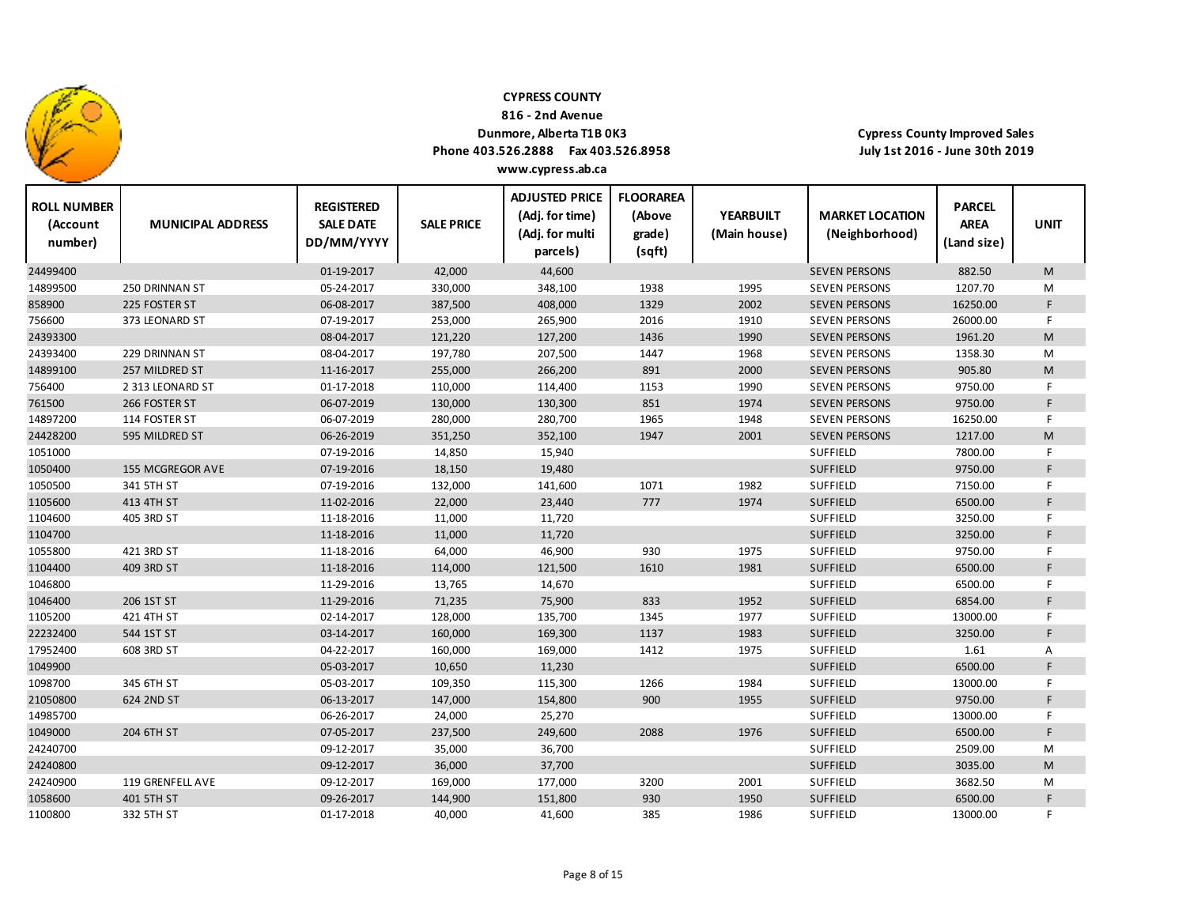

**816 ‐ 2nd Avenue**

## **Dunmore, Alberta T1B 0K3**

**Phone 403.526.2888 Fax 403.526.8958**

**Cypress County Improved Sales July 1st 2016 ‐ June 30th 2019**

| <b>ROLL NUMBER</b><br>(Account<br>number) | <b>MUNICIPAL ADDRESS</b> | <b>REGISTERED</b><br><b>SALE DATE</b><br>DD/MM/YYYY | <b>SALE PRICE</b> | <b>ADJUSTED PRICE</b><br>(Adj. for time)<br>(Adj. for multi<br>parcels) | <b>FLOORAREA</b><br>(Above<br>grade)<br>(sqft) | <b>YEARBUILT</b><br>(Main house) | <b>MARKET LOCATION</b><br>(Neighborhood) | <b>PARCEL</b><br><b>AREA</b><br>(Land size) | <b>UNIT</b> |
|-------------------------------------------|--------------------------|-----------------------------------------------------|-------------------|-------------------------------------------------------------------------|------------------------------------------------|----------------------------------|------------------------------------------|---------------------------------------------|-------------|
| 24499400                                  |                          | 01-19-2017                                          | 42,000            | 44,600                                                                  |                                                |                                  | <b>SEVEN PERSONS</b>                     | 882.50                                      | M           |
| 14899500                                  | 250 DRINNAN ST           | 05-24-2017                                          | 330,000           | 348,100                                                                 | 1938                                           | 1995                             | <b>SEVEN PERSONS</b>                     | 1207.70                                     | M           |
| 858900                                    | 225 FOSTER ST            | 06-08-2017                                          | 387,500           | 408,000                                                                 | 1329                                           | 2002                             | <b>SEVEN PERSONS</b>                     | 16250.00                                    | $\mathsf F$ |
| 756600                                    | 373 LEONARD ST           | 07-19-2017                                          | 253,000           | 265,900                                                                 | 2016                                           | 1910                             | <b>SEVEN PERSONS</b>                     | 26000.00                                    | F.          |
| 24393300                                  |                          | 08-04-2017                                          | 121,220           | 127,200                                                                 | 1436                                           | 1990                             | <b>SEVEN PERSONS</b>                     | 1961.20                                     | M           |
| 24393400                                  | 229 DRINNAN ST           | 08-04-2017                                          | 197,780           | 207,500                                                                 | 1447                                           | 1968                             | <b>SEVEN PERSONS</b>                     | 1358.30                                     | М           |
| 14899100                                  | 257 MILDRED ST           | 11-16-2017                                          | 255,000           | 266,200                                                                 | 891                                            | 2000                             | <b>SEVEN PERSONS</b>                     | 905.80                                      | M           |
| 756400                                    | 2 313 LEONARD ST         | 01-17-2018                                          | 110,000           | 114,400                                                                 | 1153                                           | 1990                             | <b>SEVEN PERSONS</b>                     | 9750.00                                     | F           |
| 761500                                    | 266 FOSTER ST            | 06-07-2019                                          | 130,000           | 130,300                                                                 | 851                                            | 1974                             | <b>SEVEN PERSONS</b>                     | 9750.00                                     | F           |
| 14897200                                  | 114 FOSTER ST            | 06-07-2019                                          | 280,000           | 280,700                                                                 | 1965                                           | 1948                             | <b>SEVEN PERSONS</b>                     | 16250.00                                    | E           |
| 24428200                                  | 595 MILDRED ST           | 06-26-2019                                          | 351,250           | 352,100                                                                 | 1947                                           | 2001                             | <b>SEVEN PERSONS</b>                     | 1217.00                                     | M           |
| 1051000                                   |                          | 07-19-2016                                          | 14,850            | 15,940                                                                  |                                                |                                  | <b>SUFFIELD</b>                          | 7800.00                                     | F           |
| 1050400                                   | 155 MCGREGOR AVE         | 07-19-2016                                          | 18,150            | 19,480                                                                  |                                                |                                  | <b>SUFFIELD</b>                          | 9750.00                                     | F           |
| 1050500                                   | 341 5TH ST               | 07-19-2016                                          | 132,000           | 141,600                                                                 | 1071                                           | 1982                             | <b>SUFFIELD</b>                          | 7150.00                                     | F           |
| 1105600                                   | 413 4TH ST               | 11-02-2016                                          | 22,000            | 23,440                                                                  | 777                                            | 1974                             | <b>SUFFIELD</b>                          | 6500.00                                     | F           |
| 1104600                                   | 405 3RD ST               | 11-18-2016                                          | 11,000            | 11,720                                                                  |                                                |                                  | <b>SUFFIELD</b>                          | 3250.00                                     | F           |
| 1104700                                   |                          | 11-18-2016                                          | 11,000            | 11,720                                                                  |                                                |                                  | <b>SUFFIELD</b>                          | 3250.00                                     | F           |
| 1055800                                   | 421 3RD ST               | 11-18-2016                                          | 64,000            | 46,900                                                                  | 930                                            | 1975                             | <b>SUFFIELD</b>                          | 9750.00                                     | F.          |
| 1104400                                   | 409 3RD ST               | 11-18-2016                                          | 114,000           | 121,500                                                                 | 1610                                           | 1981                             | <b>SUFFIELD</b>                          | 6500.00                                     | $\mathsf F$ |
| 1046800                                   |                          | 11-29-2016                                          | 13,765            | 14,670                                                                  |                                                |                                  | <b>SUFFIELD</b>                          | 6500.00                                     | F.          |
| 1046400                                   | 206 1ST ST               | 11-29-2016                                          | 71,235            | 75,900                                                                  | 833                                            | 1952                             | <b>SUFFIELD</b>                          | 6854.00                                     | F           |
| 1105200                                   | 421 4TH ST               | 02-14-2017                                          | 128,000           | 135,700                                                                 | 1345                                           | 1977                             | <b>SUFFIELD</b>                          | 13000.00                                    | F.          |
| 22232400                                  | 544 1ST ST               | 03-14-2017                                          | 160,000           | 169,300                                                                 | 1137                                           | 1983                             | <b>SUFFIELD</b>                          | 3250.00                                     | F           |
| 17952400                                  | 608 3RD ST               | 04-22-2017                                          | 160,000           | 169,000                                                                 | 1412                                           | 1975                             | <b>SUFFIELD</b>                          | 1.61                                        | Α           |
| 1049900                                   |                          | 05-03-2017                                          | 10,650            | 11,230                                                                  |                                                |                                  | <b>SUFFIELD</b>                          | 6500.00                                     | F           |
| 1098700                                   | 345 6TH ST               | 05-03-2017                                          | 109,350           | 115,300                                                                 | 1266                                           | 1984                             | <b>SUFFIELD</b>                          | 13000.00                                    | F           |
| 21050800                                  | 624 2ND ST               | 06-13-2017                                          | 147,000           | 154,800                                                                 | 900                                            | 1955                             | SUFFIELD                                 | 9750.00                                     | $\mathsf F$ |
| 14985700                                  |                          | 06-26-2017                                          | 24,000            | 25,270                                                                  |                                                |                                  | <b>SUFFIELD</b>                          | 13000.00                                    | F.          |
| 1049000                                   | 204 6TH ST               | 07-05-2017                                          | 237,500           | 249,600                                                                 | 2088                                           | 1976                             | <b>SUFFIELD</b>                          | 6500.00                                     | F           |
| 24240700                                  |                          | 09-12-2017                                          | 35,000            | 36,700                                                                  |                                                |                                  | <b>SUFFIELD</b>                          | 2509.00                                     | M           |
| 24240800                                  |                          | 09-12-2017                                          | 36,000            | 37,700                                                                  |                                                |                                  | <b>SUFFIELD</b>                          | 3035.00                                     | M           |
| 24240900                                  | 119 GRENFELL AVE         | 09-12-2017                                          | 169,000           | 177,000                                                                 | 3200                                           | 2001                             | <b>SUFFIELD</b>                          | 3682.50                                     | M           |
| 1058600                                   | 401 5TH ST               | 09-26-2017                                          | 144,900           | 151,800                                                                 | 930                                            | 1950                             | <b>SUFFIELD</b>                          | 6500.00                                     | F           |
| 1100800                                   | 332 5TH ST               | 01-17-2018                                          | 40,000            | 41,600                                                                  | 385                                            | 1986                             | SUFFIELD                                 | 13000.00                                    | F           |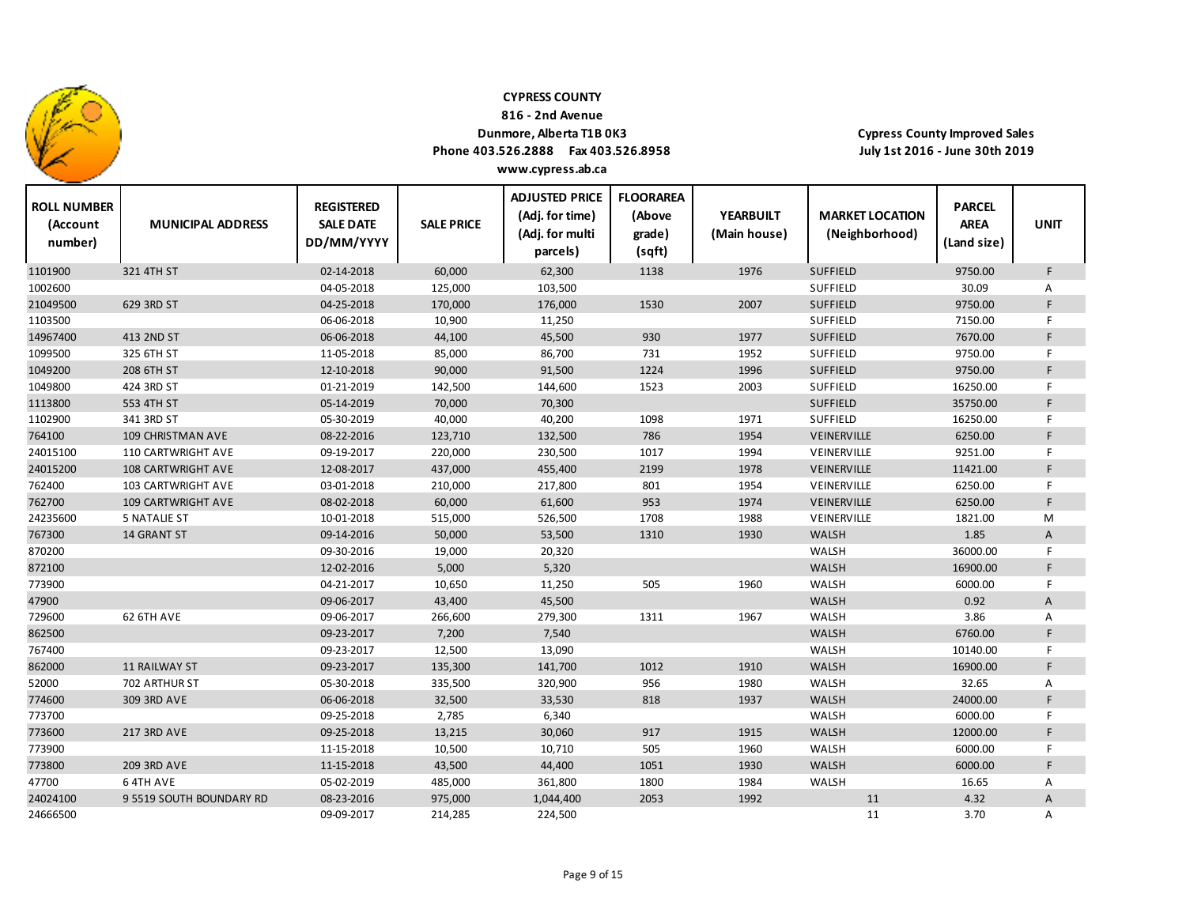

**ROLL NUMBER**

24024100

9 5519 SOUTH BOUNDARY RD

### **CYPRESS COUNTY**

**816 ‐ 2nd Avenue**

### **Dunmore, Alberta T1B 0K3**

**Phone 403.526.2888 Fax 403.526.8958 www.cypress.ab.ca**

**ADJUSTED PRICE FLOORAREA**

**REGISTERED**

**Cypress County Improved Sales July 1st 2016 ‐ June 30th 2019**

**PARCEL**

| <b>ROLL NUMBER</b><br>(Account<br>number) | <b>MUNICIPAL ADDRESS</b>  | <b>REGISTERED</b><br><b>SALE DATE</b><br>DD/MM/YYYY | <b>SALE PRICE</b> | (Adj. for time)<br>(Adj. for multi<br>parcels) | (Above<br>grade)<br>(sqft) | <b>YEARBUILT</b><br>(Main house) | <b>MARKET LOCATION</b><br>(Neighborhood) | <b>PARCEL</b><br><b>AREA</b><br>(Land size) | <b>UNIT</b> |
|-------------------------------------------|---------------------------|-----------------------------------------------------|-------------------|------------------------------------------------|----------------------------|----------------------------------|------------------------------------------|---------------------------------------------|-------------|
| 1101900                                   | 321 4TH ST                | 02-14-2018                                          | 60,000            | 62,300                                         | 1138                       | 1976                             | <b>SUFFIELD</b>                          | 9750.00                                     | F           |
| 1002600                                   |                           | 04-05-2018                                          | 125,000           | 103,500                                        |                            |                                  | SUFFIELD                                 | 30.09                                       | А           |
| 21049500                                  | 629 3RD ST                | 04-25-2018                                          | 170,000           | 176,000                                        | 1530                       | 2007                             | <b>SUFFIELD</b>                          | 9750.00                                     | F           |
| 1103500                                   |                           | 06-06-2018                                          | 10,900            | 11,250                                         |                            |                                  | SUFFIELD                                 | 7150.00                                     | F           |
| 14967400                                  | 413 2ND ST                | 06-06-2018                                          | 44,100            | 45,500                                         | 930                        | 1977                             | <b>SUFFIELD</b>                          | 7670.00                                     | F           |
| 1099500                                   | 325 6TH ST                | 11-05-2018                                          | 85,000            | 86,700                                         | 731                        | 1952                             | SUFFIELD                                 | 9750.00                                     | F.          |
| 1049200                                   | 208 6TH ST                | 12-10-2018                                          | 90,000            | 91,500                                         | 1224                       | 1996                             | <b>SUFFIELD</b>                          | 9750.00                                     | F.          |
| 1049800                                   | 424 3RD ST                | 01-21-2019                                          | 142,500           | 144,600                                        | 1523                       | 2003                             | SUFFIELD                                 | 16250.00                                    | F           |
| 1113800                                   | 553 4TH ST                | 05-14-2019                                          | 70,000            | 70,300                                         |                            |                                  | <b>SUFFIELD</b>                          | 35750.00                                    | F           |
| 1102900                                   | 341 3RD ST                | 05-30-2019                                          | 40,000            | 40,200                                         | 1098                       | 1971                             | <b>SUFFIELD</b>                          | 16250.00                                    | F           |
| 764100                                    | 109 CHRISTMAN AVE         | 08-22-2016                                          | 123,710           | 132,500                                        | 786                        | 1954                             | VEINERVILLE                              | 6250.00                                     | F           |
| 24015100                                  | 110 CARTWRIGHT AVE        | 09-19-2017                                          | 220,000           | 230,500                                        | 1017                       | 1994                             | VEINERVILLE                              | 9251.00                                     | F           |
| 24015200                                  | <b>108 CARTWRIGHT AVE</b> | 12-08-2017                                          | 437,000           | 455,400                                        | 2199                       | 1978                             | VEINERVILLE                              | 11421.00                                    | F           |
| 762400                                    | 103 CARTWRIGHT AVE        | 03-01-2018                                          | 210,000           | 217,800                                        | 801                        | 1954                             | VEINERVILLE                              | 6250.00                                     | F           |
| 762700                                    | <b>109 CARTWRIGHT AVE</b> | 08-02-2018                                          | 60,000            | 61,600                                         | 953                        | 1974                             | VEINERVILLE                              | 6250.00                                     | F           |
| 24235600                                  | <b>5 NATALIE ST</b>       | 10-01-2018                                          | 515,000           | 526,500                                        | 1708                       | 1988                             | VEINERVILLE                              | 1821.00                                     | M           |
| 767300                                    | 14 GRANT ST               | 09-14-2016                                          | 50,000            | 53,500                                         | 1310                       | 1930                             | <b>WALSH</b>                             | 1.85                                        | A           |
| 870200                                    |                           | 09-30-2016                                          | 19,000            | 20,320                                         |                            |                                  | WALSH                                    | 36000.00                                    | F           |
| 872100                                    |                           | 12-02-2016                                          | 5,000             | 5,320                                          |                            |                                  | <b>WALSH</b>                             | 16900.00                                    | F           |
| 773900                                    |                           | 04-21-2017                                          | 10,650            | 11,250                                         | 505                        | 1960                             | WALSH                                    | 6000.00                                     | F           |
| 47900                                     |                           | 09-06-2017                                          | 43,400            | 45,500                                         |                            |                                  | WALSH                                    | 0.92                                        | A           |
| 729600                                    | 62 6TH AVE                | 09-06-2017                                          | 266,600           | 279,300                                        | 1311                       | 1967                             | WALSH                                    | 3.86                                        | Α           |
| 862500                                    |                           | 09-23-2017                                          | 7,200             | 7,540                                          |                            |                                  | <b>WALSH</b>                             | 6760.00                                     | F           |
| 767400                                    |                           | 09-23-2017                                          | 12,500            | 13,090                                         |                            |                                  | WALSH                                    | 10140.00                                    | F           |
| 862000                                    | <b>11 RAILWAY ST</b>      | 09-23-2017                                          | 135,300           | 141,700                                        | 1012                       | 1910                             | <b>WALSH</b>                             | 16900.00                                    | F           |
| 52000                                     | 702 ARTHUR ST             | 05-30-2018                                          | 335,500           | 320,900                                        | 956                        | 1980                             | WALSH                                    | 32.65                                       | Α           |
| 774600                                    | 309 3RD AVE               | 06-06-2018                                          | 32,500            | 33,530                                         | 818                        | 1937                             | <b>WALSH</b>                             | 24000.00                                    | F           |
| 773700                                    |                           | 09-25-2018                                          | 2,785             | 6,340                                          |                            |                                  | WALSH                                    | 6000.00                                     | F           |
| 773600                                    | <b>217 3RD AVE</b>        | 09-25-2018                                          | 13,215            | 30,060                                         | 917                        | 1915                             | <b>WALSH</b>                             | 12000.00                                    | F.          |
| 773900                                    |                           | 11-15-2018                                          | 10,500            | 10,710                                         | 505                        | 1960                             | WALSH                                    | 6000.00                                     | F           |
| 773800                                    | 209 3RD AVE               | 11-15-2018                                          | 43,500            | 44,400                                         | 1051                       | 1930                             | <b>WALSH</b>                             | 6000.00                                     | F           |
| 47700                                     | 64TH AVE                  | 05-02-2019                                          | 485,000           | 361,800                                        | 1800                       | 1984                             | WALSH                                    | 16.65                                       | Α           |

H AVE 05‐02‐2019 485,000 1860 1984 WALSH 16.65 A

24666500 09-09-2017 214,285 224,500 11 3.70 A

BOUNDARY RD 08‐23‐2016 975,000 1,044,400 2053 1992 11 4.32 A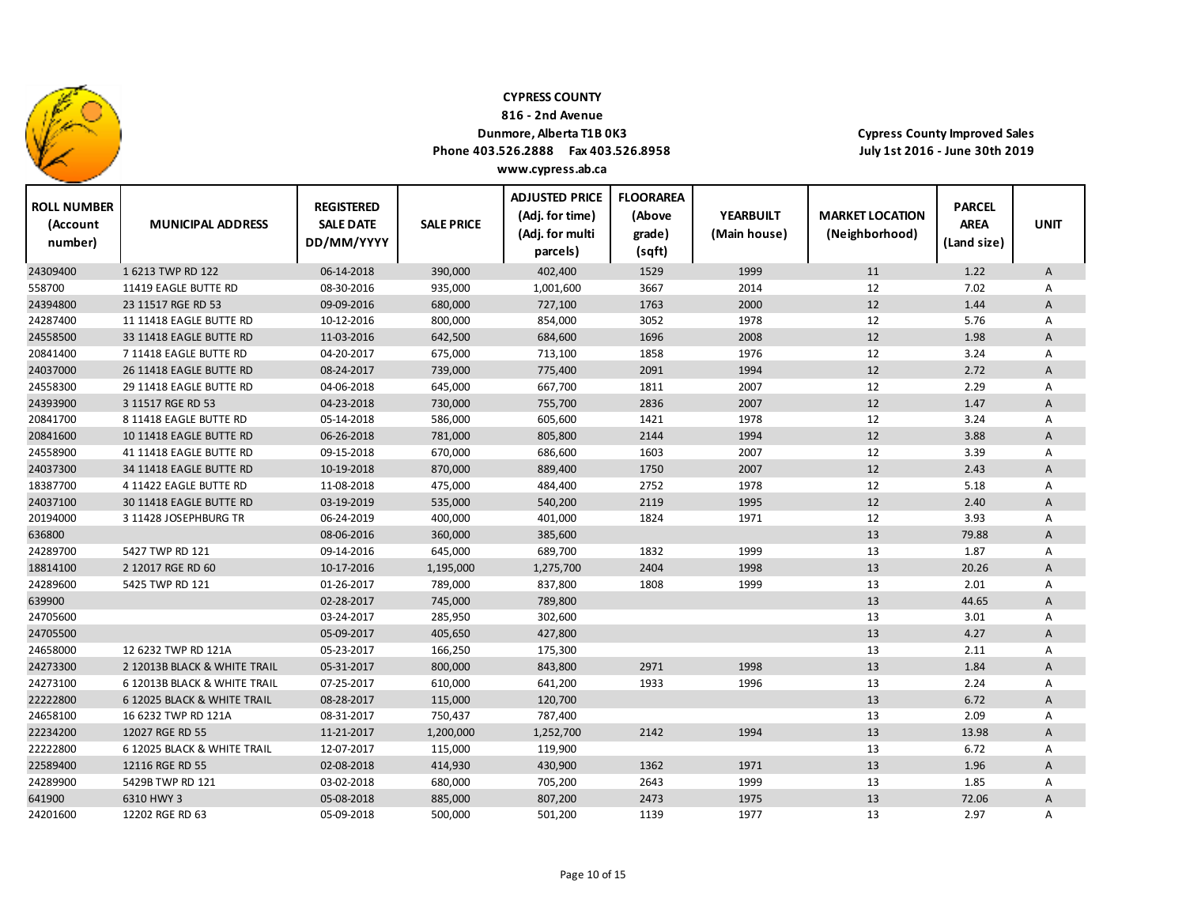

**816 ‐ 2nd Avenue**

## **Dunmore, Alberta T1B 0K3**

**Phone 403.526.2888 Fax 403.526.8958 www.cypress.ab.ca**

| <b>ROLL NUMBER</b><br>(Account<br>number) | <b>MUNICIPAL ADDRESS</b>     | <b>REGISTERED</b><br><b>SALE DATE</b><br>DD/MM/YYYY | <b>SALE PRICE</b> | <b>ADJUSTED PRICE</b><br>(Adj. for time)<br>(Adj. for multi<br>parcels) | <b>FLOORAREA</b><br>(Above<br>grade)<br>(sqft) | <b>YEARBUILT</b><br>(Main house) | <b>MARKET LOCATION</b><br>(Neighborhood) | <b>PARCEL</b><br><b>AREA</b><br>(Land size) | <b>UNIT</b>    |
|-------------------------------------------|------------------------------|-----------------------------------------------------|-------------------|-------------------------------------------------------------------------|------------------------------------------------|----------------------------------|------------------------------------------|---------------------------------------------|----------------|
| 24309400                                  | 1 6213 TWP RD 122            | 06-14-2018                                          | 390,000           | 402,400                                                                 | 1529                                           | 1999                             | 11                                       | 1.22                                        | A              |
| 558700                                    | 11419 EAGLE BUTTE RD         | 08-30-2016                                          | 935,000           | 1,001,600                                                               | 3667                                           | 2014                             | 12                                       | 7.02                                        | Α              |
| 24394800                                  | 23 11517 RGE RD 53           | 09-09-2016                                          | 680,000           | 727,100                                                                 | 1763                                           | 2000                             | 12                                       | 1.44                                        | A              |
| 24287400                                  | 11 11418 EAGLE BUTTE RD      | 10-12-2016                                          | 800,000           | 854,000                                                                 | 3052                                           | 1978                             | 12                                       | 5.76                                        | Α              |
| 24558500                                  | 33 11418 EAGLE BUTTE RD      | 11-03-2016                                          | 642,500           | 684,600                                                                 | 1696                                           | 2008                             | 12                                       | 1.98                                        | A              |
| 20841400                                  | 7 11418 EAGLE BUTTE RD       | 04-20-2017                                          | 675,000           | 713,100                                                                 | 1858                                           | 1976                             | 12                                       | 3.24                                        | Α              |
| 24037000                                  | 26 11418 EAGLE BUTTE RD      | 08-24-2017                                          | 739,000           | 775,400                                                                 | 2091                                           | 1994                             | 12                                       | 2.72                                        | A              |
| 24558300                                  | 29 11418 EAGLE BUTTE RD      | 04-06-2018                                          | 645,000           | 667,700                                                                 | 1811                                           | 2007                             | 12                                       | 2.29                                        | A              |
| 24393900                                  | 3 11517 RGE RD 53            | 04-23-2018                                          | 730,000           | 755,700                                                                 | 2836                                           | 2007                             | 12                                       | 1.47                                        | A              |
| 20841700                                  | 8 11418 EAGLE BUTTE RD       | 05-14-2018                                          | 586,000           | 605,600                                                                 | 1421                                           | 1978                             | 12                                       | 3.24                                        | Α              |
| 20841600                                  | 10 11418 EAGLE BUTTE RD      | 06-26-2018                                          | 781,000           | 805,800                                                                 | 2144                                           | 1994                             | 12                                       | 3.88                                        | A              |
| 24558900                                  | 41 11418 EAGLE BUTTE RD      | 09-15-2018                                          | 670,000           | 686,600                                                                 | 1603                                           | 2007                             | 12                                       | 3.39                                        | A              |
| 24037300                                  | 34 11418 EAGLE BUTTE RD      | 10-19-2018                                          | 870,000           | 889,400                                                                 | 1750                                           | 2007                             | 12                                       | 2.43                                        | $\overline{A}$ |
| 18387700                                  | 4 11422 EAGLE BUTTE RD       | 11-08-2018                                          | 475,000           | 484,400                                                                 | 2752                                           | 1978                             | 12                                       | 5.18                                        | Α              |
| 24037100                                  | 30 11418 EAGLE BUTTE RD      | 03-19-2019                                          | 535,000           | 540,200                                                                 | 2119                                           | 1995                             | 12                                       | 2.40                                        | $\overline{A}$ |
| 20194000                                  | 3 11428 JOSEPHBURG TR        | 06-24-2019                                          | 400,000           | 401,000                                                                 | 1824                                           | 1971                             | 12                                       | 3.93                                        | Α              |
| 636800                                    |                              | 08-06-2016                                          | 360,000           | 385,600                                                                 |                                                |                                  | 13                                       | 79.88                                       | A              |
| 24289700                                  | 5427 TWP RD 121              | 09-14-2016                                          | 645,000           | 689,700                                                                 | 1832                                           | 1999                             | 13                                       | 1.87                                        | Α              |
| 18814100                                  | 2 12017 RGE RD 60            | 10-17-2016                                          | 1,195,000         | 1,275,700                                                               | 2404                                           | 1998                             | 13                                       | 20.26                                       | A              |
| 24289600                                  | 5425 TWP RD 121              | 01-26-2017                                          | 789,000           | 837,800                                                                 | 1808                                           | 1999                             | 13                                       | 2.01                                        | Α              |
| 639900                                    |                              | 02-28-2017                                          | 745,000           | 789,800                                                                 |                                                |                                  | 13                                       | 44.65                                       | A              |
| 24705600                                  |                              | 03-24-2017                                          | 285,950           | 302,600                                                                 |                                                |                                  | 13                                       | 3.01                                        | A              |
| 24705500                                  |                              | 05-09-2017                                          | 405,650           | 427,800                                                                 |                                                |                                  | 13                                       | 4.27                                        | A              |
| 24658000                                  | 12 6232 TWP RD 121A          | 05-23-2017                                          | 166,250           | 175,300                                                                 |                                                |                                  | 13                                       | 2.11                                        | A              |
| 24273300                                  | 2 12013B BLACK & WHITE TRAIL | 05-31-2017                                          | 800,000           | 843,800                                                                 | 2971                                           | 1998                             | 13                                       | 1.84                                        | A              |
| 24273100                                  | 6 12013B BLACK & WHITE TRAIL | 07-25-2017                                          | 610,000           | 641,200                                                                 | 1933                                           | 1996                             | 13                                       | 2.24                                        | A              |
| 22222800                                  | 6 12025 BLACK & WHITE TRAIL  | 08-28-2017                                          | 115,000           | 120,700                                                                 |                                                |                                  | 13                                       | 6.72                                        | A              |
| 24658100                                  | 16 6232 TWP RD 121A          | 08-31-2017                                          | 750,437           | 787,400                                                                 |                                                |                                  | 13                                       | 2.09                                        | Α              |
| 22234200                                  | 12027 RGE RD 55              | 11-21-2017                                          | 1,200,000         | 1,252,700                                                               | 2142                                           | 1994                             | 13                                       | 13.98                                       | A              |
| 22222800                                  | 6 12025 BLACK & WHITE TRAIL  | 12-07-2017                                          | 115,000           | 119,900                                                                 |                                                |                                  | 13                                       | 6.72                                        | Α              |
| 22589400                                  | 12116 RGE RD 55              | 02-08-2018                                          | 414,930           | 430,900                                                                 | 1362                                           | 1971                             | 13                                       | 1.96                                        | A              |
| 24289900                                  | 5429B TWP RD 121             | 03-02-2018                                          | 680,000           | 705,200                                                                 | 2643                                           | 1999                             | 13                                       | 1.85                                        | Α              |
| 641900                                    | 6310 HWY 3                   | 05-08-2018                                          | 885,000           | 807,200                                                                 | 2473                                           | 1975                             | 13                                       | 72.06                                       | A              |
| 24201600                                  | 12202 RGE RD 63              | 05-09-2018                                          | 500,000           | 501,200                                                                 | 1139                                           | 1977                             | 13                                       | 2.97                                        | Α              |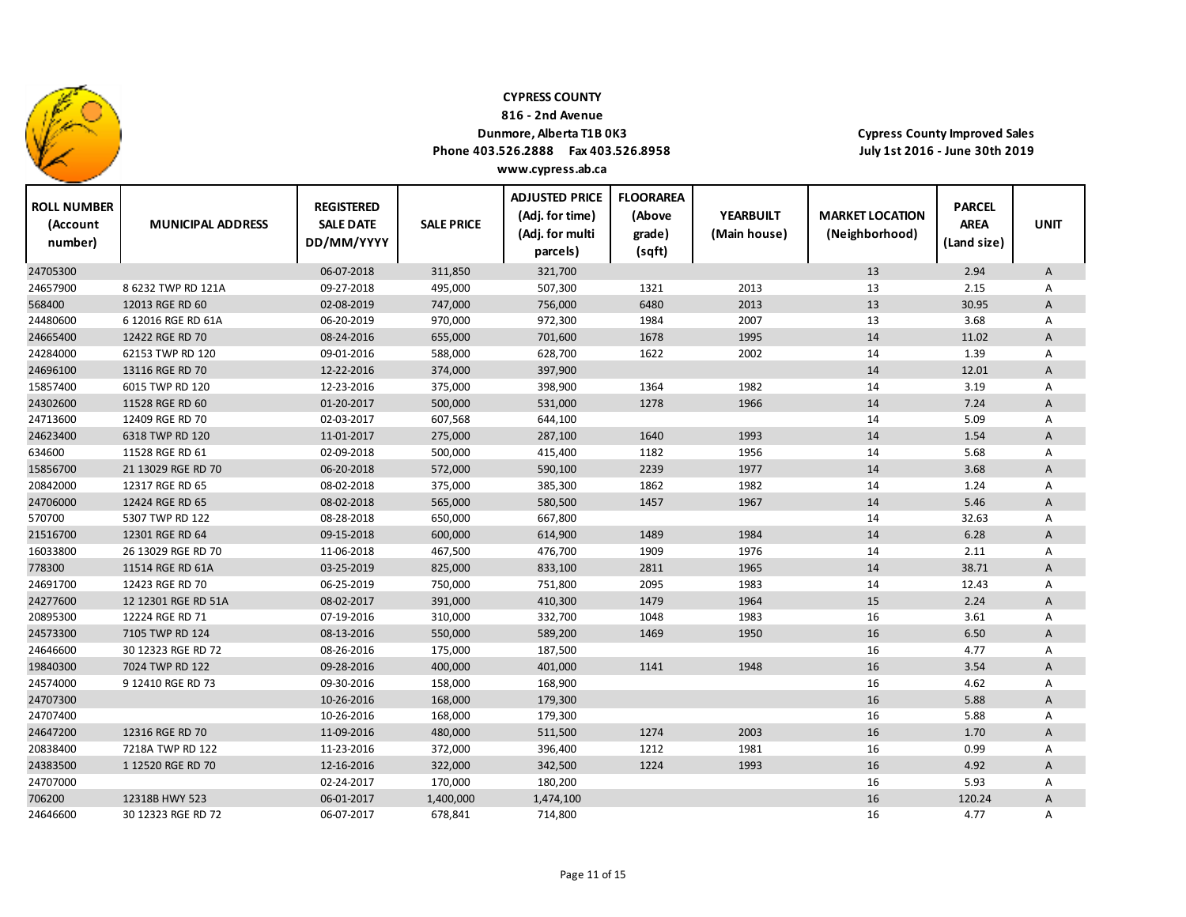

24646600

30 12323 RGE RD 72

### **CYPRESS COUNTY**

**816 ‐ 2nd Avenue**

## **Dunmore, Alberta T1B 0K3**

**Phone 403.526.2888 Fax 403.526.8958 www.cypress.ab.ca**

**Cypress County Improved Sales July 1st 2016 ‐ June 30th 2019**

 $\mathbf{I}$ 

e.

| <b>ROLL NUMBER</b><br>(Account<br>number) | <b>MUNICIPAL ADDRESS</b> | <b>REGISTERED</b><br><b>SALE DATE</b><br>DD/MM/YYYY | <b>SALE PRICE</b> | <b>ADJUSTED PRICE</b><br>(Adj. for time)<br>(Adj. for multi<br>parcels) | <b>FLOORAREA</b><br>(Above<br>grade)<br>(sqft) | <b>YEARBUILT</b><br>(Main house) | <b>MARKET LOCATION</b><br>(Neighborhood) | <b>PARCEL</b><br><b>AREA</b><br>(Land size) | <b>UNIT</b>               |
|-------------------------------------------|--------------------------|-----------------------------------------------------|-------------------|-------------------------------------------------------------------------|------------------------------------------------|----------------------------------|------------------------------------------|---------------------------------------------|---------------------------|
| 24705300                                  |                          | 06-07-2018                                          | 311,850           | 321,700                                                                 |                                                |                                  | 13                                       | 2.94                                        | A                         |
| 24657900                                  | 8 6232 TWP RD 121A       | 09-27-2018                                          | 495,000           | 507,300                                                                 | 1321                                           | 2013                             | 13                                       | 2.15                                        | Α                         |
| 568400                                    | 12013 RGE RD 60          | 02-08-2019                                          | 747,000           | 756,000                                                                 | 6480                                           | 2013                             | 13                                       | 30.95                                       | A                         |
| 24480600                                  | 6 12016 RGE RD 61A       | 06-20-2019                                          | 970,000           | 972,300                                                                 | 1984                                           | 2007                             | 13                                       | 3.68                                        | Α                         |
| 24665400                                  | 12422 RGE RD 70          | 08-24-2016                                          | 655,000           | 701,600                                                                 | 1678                                           | 1995                             | 14                                       | 11.02                                       | A                         |
| 24284000                                  | 62153 TWP RD 120         | 09-01-2016                                          | 588,000           | 628,700                                                                 | 1622                                           | 2002                             | 14                                       | 1.39                                        | A                         |
| 24696100                                  | 13116 RGE RD 70          | 12-22-2016                                          | 374,000           | 397,900                                                                 |                                                |                                  | 14                                       | 12.01                                       | A                         |
| 15857400                                  | 6015 TWP RD 120          | 12-23-2016                                          | 375,000           | 398,900                                                                 | 1364                                           | 1982                             | 14                                       | 3.19                                        | A                         |
| 24302600                                  | 11528 RGE RD 60          | 01-20-2017                                          | 500,000           | 531,000                                                                 | 1278                                           | 1966                             | 14                                       | 7.24                                        | A                         |
| 24713600                                  | 12409 RGE RD 70          | 02-03-2017                                          | 607,568           | 644,100                                                                 |                                                |                                  | 14                                       | 5.09                                        | Α                         |
| 24623400                                  | 6318 TWP RD 120          | 11-01-2017                                          | 275,000           | 287,100                                                                 | 1640                                           | 1993                             | 14                                       | 1.54                                        | A                         |
| 634600                                    | 11528 RGE RD 61          | 02-09-2018                                          | 500,000           | 415,400                                                                 | 1182                                           | 1956                             | 14                                       | 5.68                                        | Α                         |
| 15856700                                  | 21 13029 RGE RD 70       | 06-20-2018                                          | 572,000           | 590,100                                                                 | 2239                                           | 1977                             | 14                                       | 3.68                                        | A                         |
| 20842000                                  | 12317 RGE RD 65          | 08-02-2018                                          | 375,000           | 385,300                                                                 | 1862                                           | 1982                             | 14                                       | 1.24                                        | Α                         |
| 24706000                                  | 12424 RGE RD 65          | 08-02-2018                                          | 565,000           | 580,500                                                                 | 1457                                           | 1967                             | 14                                       | 5.46                                        | A                         |
| 570700                                    | 5307 TWP RD 122          | 08-28-2018                                          | 650,000           | 667,800                                                                 |                                                |                                  | 14                                       | 32.63                                       | Α                         |
| 21516700                                  | 12301 RGE RD 64          | 09-15-2018                                          | 600,000           | 614,900                                                                 | 1489                                           | 1984                             | 14                                       | 6.28                                        | A                         |
| 16033800                                  | 26 13029 RGE RD 70       | 11-06-2018                                          | 467,500           | 476,700                                                                 | 1909                                           | 1976                             | 14                                       | 2.11                                        | Α                         |
| 778300                                    | 11514 RGE RD 61A         | 03-25-2019                                          | 825,000           | 833,100                                                                 | 2811                                           | 1965                             | 14                                       | 38.71                                       | A                         |
| 24691700                                  | 12423 RGE RD 70          | 06-25-2019                                          | 750,000           | 751,800                                                                 | 2095                                           | 1983                             | 14                                       | 12.43                                       | Α                         |
| 24277600                                  | 12 12301 RGE RD 51A      | 08-02-2017                                          | 391,000           | 410,300                                                                 | 1479                                           | 1964                             | 15                                       | 2.24                                        | A                         |
| 20895300                                  | 12224 RGE RD 71          | 07-19-2016                                          | 310,000           | 332,700                                                                 | 1048                                           | 1983                             | 16                                       | 3.61                                        | Α                         |
| 24573300                                  | 7105 TWP RD 124          | 08-13-2016                                          | 550,000           | 589,200                                                                 | 1469                                           | 1950                             | 16                                       | 6.50                                        | $\boldsymbol{\mathsf{A}}$ |
| 24646600                                  | 30 12323 RGE RD 72       | 08-26-2016                                          | 175,000           | 187,500                                                                 |                                                |                                  | 16                                       | 4.77                                        | Α                         |
| 19840300                                  | 7024 TWP RD 122          | 09-28-2016                                          | 400,000           | 401,000                                                                 | 1141                                           | 1948                             | 16                                       | 3.54                                        | $\boldsymbol{\mathsf{A}}$ |
| 24574000                                  | 9 12410 RGE RD 73        | 09-30-2016                                          | 158,000           | 168,900                                                                 |                                                |                                  | 16                                       | 4.62                                        | Α                         |
| 24707300                                  |                          | 10-26-2016                                          | 168,000           | 179,300                                                                 |                                                |                                  | 16                                       | 5.88                                        | $\mathsf A$               |
| 24707400                                  |                          | 10-26-2016                                          | 168,000           | 179,300                                                                 |                                                |                                  | 16                                       | 5.88                                        | Α                         |
| 24647200                                  | 12316 RGE RD 70          | 11-09-2016                                          | 480,000           | 511,500                                                                 | 1274                                           | 2003                             | 16                                       | 1.70                                        | $\mathsf A$               |
| 20838400                                  | 7218A TWP RD 122         | 11-23-2016                                          | 372,000           | 396,400                                                                 | 1212                                           | 1981                             | 16                                       | 0.99                                        | Α                         |
| 24383500                                  | 1 12520 RGE RD 70        | 12-16-2016                                          | 322,000           | 342,500                                                                 | 1224                                           | 1993                             | 16                                       | 4.92                                        | A                         |
| 24707000                                  |                          | 02-24-2017                                          | 170,000           | 180,200                                                                 |                                                |                                  | 16                                       | 5.93                                        | Α                         |
| 706200                                    | 12318B HWY 523           | 06-01-2017                                          | 1,400,000         | 1,474,100                                                               |                                                |                                  | 16                                       | 120.24                                      | A                         |

72 06‐07‐2017 678,841 714,800 16 4.77 A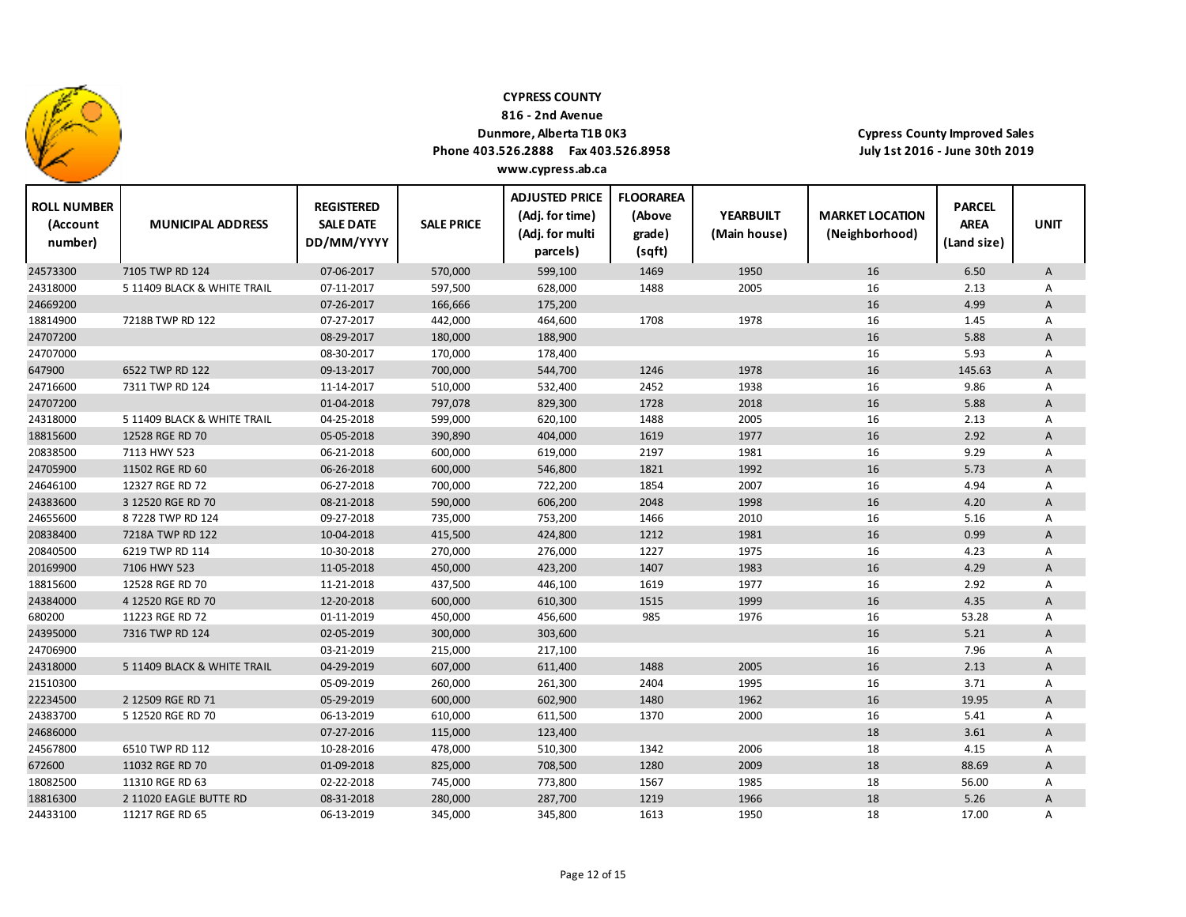

**816 ‐ 2nd Avenue**

### **Dunmore, Alberta T1B 0K3**

**Phone 403.526.2888 Fax 403.526.8958 www.cypress.ab.ca**

| <b>ROLL NUMBER</b><br>(Account<br>number) | <b>MUNICIPAL ADDRESS</b>    | <b>REGISTERED</b><br><b>SALE DATE</b><br>DD/MM/YYYY | <b>SALE PRICE</b> | <b>ADJUSTED PRICE</b><br>(Adj. for time)<br>(Adj. for multi<br>parcels) | <b>FLOORAREA</b><br>(Above<br>grade)<br>(sqft) | <b>YEARBUILT</b><br>(Main house) | <b>MARKET LOCATION</b><br>(Neighborhood) | <b>PARCEL</b><br><b>AREA</b><br>(Land size) | <b>UNIT</b> |
|-------------------------------------------|-----------------------------|-----------------------------------------------------|-------------------|-------------------------------------------------------------------------|------------------------------------------------|----------------------------------|------------------------------------------|---------------------------------------------|-------------|
| 24573300                                  | 7105 TWP RD 124             | 07-06-2017                                          | 570,000           | 599,100                                                                 | 1469                                           | 1950                             | 16                                       | 6.50                                        | A           |
| 24318000                                  | 5 11409 BLACK & WHITE TRAIL | 07-11-2017                                          | 597,500           | 628,000                                                                 | 1488                                           | 2005                             | 16                                       | 2.13                                        | Α           |
| 24669200                                  |                             | 07-26-2017                                          | 166,666           | 175,200                                                                 |                                                |                                  | 16                                       | 4.99                                        | A           |
| 18814900                                  | 7218B TWP RD 122            | 07-27-2017                                          | 442,000           | 464,600                                                                 | 1708                                           | 1978                             | 16                                       | 1.45                                        | Α           |
| 24707200                                  |                             | 08-29-2017                                          | 180,000           | 188,900                                                                 |                                                |                                  | 16                                       | 5.88                                        | A           |
| 24707000                                  |                             | 08-30-2017                                          | 170,000           | 178,400                                                                 |                                                |                                  | 16                                       | 5.93                                        | Α           |
| 647900                                    | 6522 TWP RD 122             | 09-13-2017                                          | 700,000           | 544,700                                                                 | 1246                                           | 1978                             | 16                                       | 145.63                                      | A           |
| 24716600                                  | 7311 TWP RD 124             | 11-14-2017                                          | 510,000           | 532,400                                                                 | 2452                                           | 1938                             | 16                                       | 9.86                                        | Α           |
| 24707200                                  |                             | 01-04-2018                                          | 797,078           | 829,300                                                                 | 1728                                           | 2018                             | 16                                       | 5.88                                        | A           |
| 24318000                                  | 5 11409 BLACK & WHITE TRAIL | 04-25-2018                                          | 599,000           | 620,100                                                                 | 1488                                           | 2005                             | 16                                       | 2.13                                        | Α           |
| 18815600                                  | 12528 RGE RD 70             | 05-05-2018                                          | 390,890           | 404,000                                                                 | 1619                                           | 1977                             | 16                                       | 2.92                                        | A           |
| 20838500                                  | 7113 HWY 523                | 06-21-2018                                          | 600,000           | 619,000                                                                 | 2197                                           | 1981                             | 16                                       | 9.29                                        | Α           |
| 24705900                                  | 11502 RGE RD 60             | 06-26-2018                                          | 600,000           | 546,800                                                                 | 1821                                           | 1992                             | 16                                       | 5.73                                        | A           |
| 24646100                                  | 12327 RGE RD 72             | 06-27-2018                                          | 700,000           | 722,200                                                                 | 1854                                           | 2007                             | 16                                       | 4.94                                        | Α           |
| 24383600                                  | 3 12520 RGE RD 70           | 08-21-2018                                          | 590,000           | 606,200                                                                 | 2048                                           | 1998                             | 16                                       | 4.20                                        | A           |
| 24655600                                  | 87228 TWP RD 124            | 09-27-2018                                          | 735,000           | 753,200                                                                 | 1466                                           | 2010                             | 16                                       | 5.16                                        | Α           |
| 20838400                                  | 7218A TWP RD 122            | 10-04-2018                                          | 415,500           | 424,800                                                                 | 1212                                           | 1981                             | 16                                       | 0.99                                        | A           |
| 20840500                                  | 6219 TWP RD 114             | 10-30-2018                                          | 270,000           | 276,000                                                                 | 1227                                           | 1975                             | 16                                       | 4.23                                        | Α           |
| 20169900                                  | 7106 HWY 523                | 11-05-2018                                          | 450,000           | 423,200                                                                 | 1407                                           | 1983                             | 16                                       | 4.29                                        | A           |
| 18815600                                  | 12528 RGE RD 70             | 11-21-2018                                          | 437,500           | 446,100                                                                 | 1619                                           | 1977                             | 16                                       | 2.92                                        | Α           |
| 24384000                                  | 4 12520 RGE RD 70           | 12-20-2018                                          | 600,000           | 610,300                                                                 | 1515                                           | 1999                             | 16                                       | 4.35                                        | A           |
| 680200                                    | 11223 RGE RD 72             | 01-11-2019                                          | 450,000           | 456,600                                                                 | 985                                            | 1976                             | 16                                       | 53.28                                       | Α           |
| 24395000                                  | 7316 TWP RD 124             | 02-05-2019                                          | 300,000           | 303,600                                                                 |                                                |                                  | 16                                       | 5.21                                        | A           |
| 24706900                                  |                             | 03-21-2019                                          | 215,000           | 217,100                                                                 |                                                |                                  | 16                                       | 7.96                                        | Α           |
| 24318000                                  | 5 11409 BLACK & WHITE TRAIL | 04-29-2019                                          | 607,000           | 611,400                                                                 | 1488                                           | 2005                             | 16                                       | 2.13                                        | A           |
| 21510300                                  |                             | 05-09-2019                                          | 260,000           | 261,300                                                                 | 2404                                           | 1995                             | 16                                       | 3.71                                        | Α           |
| 22234500                                  | 2 12509 RGE RD 71           | 05-29-2019                                          | 600,000           | 602,900                                                                 | 1480                                           | 1962                             | 16                                       | 19.95                                       | A           |
| 24383700                                  | 5 12520 RGE RD 70           | 06-13-2019                                          | 610,000           | 611,500                                                                 | 1370                                           | 2000                             | 16                                       | 5.41                                        | Α           |
| 24686000                                  |                             | 07-27-2016                                          | 115,000           | 123,400                                                                 |                                                |                                  | 18                                       | 3.61                                        | A           |
| 24567800                                  | 6510 TWP RD 112             | 10-28-2016                                          | 478,000           | 510,300                                                                 | 1342                                           | 2006                             | 18                                       | 4.15                                        | Α           |
| 672600                                    | 11032 RGE RD 70             | 01-09-2018                                          | 825,000           | 708,500                                                                 | 1280                                           | 2009                             | 18                                       | 88.69                                       | A           |
| 18082500                                  | 11310 RGE RD 63             | 02-22-2018                                          | 745,000           | 773,800                                                                 | 1567                                           | 1985                             | 18                                       | 56.00                                       | Α           |
| 18816300                                  | 2 11020 EAGLE BUTTE RD      | 08-31-2018                                          | 280,000           | 287,700                                                                 | 1219                                           | 1966                             | 18                                       | 5.26                                        | A           |
| 24433100                                  | 11217 RGE RD 65             | 06-13-2019                                          | 345,000           | 345,800                                                                 | 1613                                           | 1950                             | 18                                       | 17.00                                       | Α           |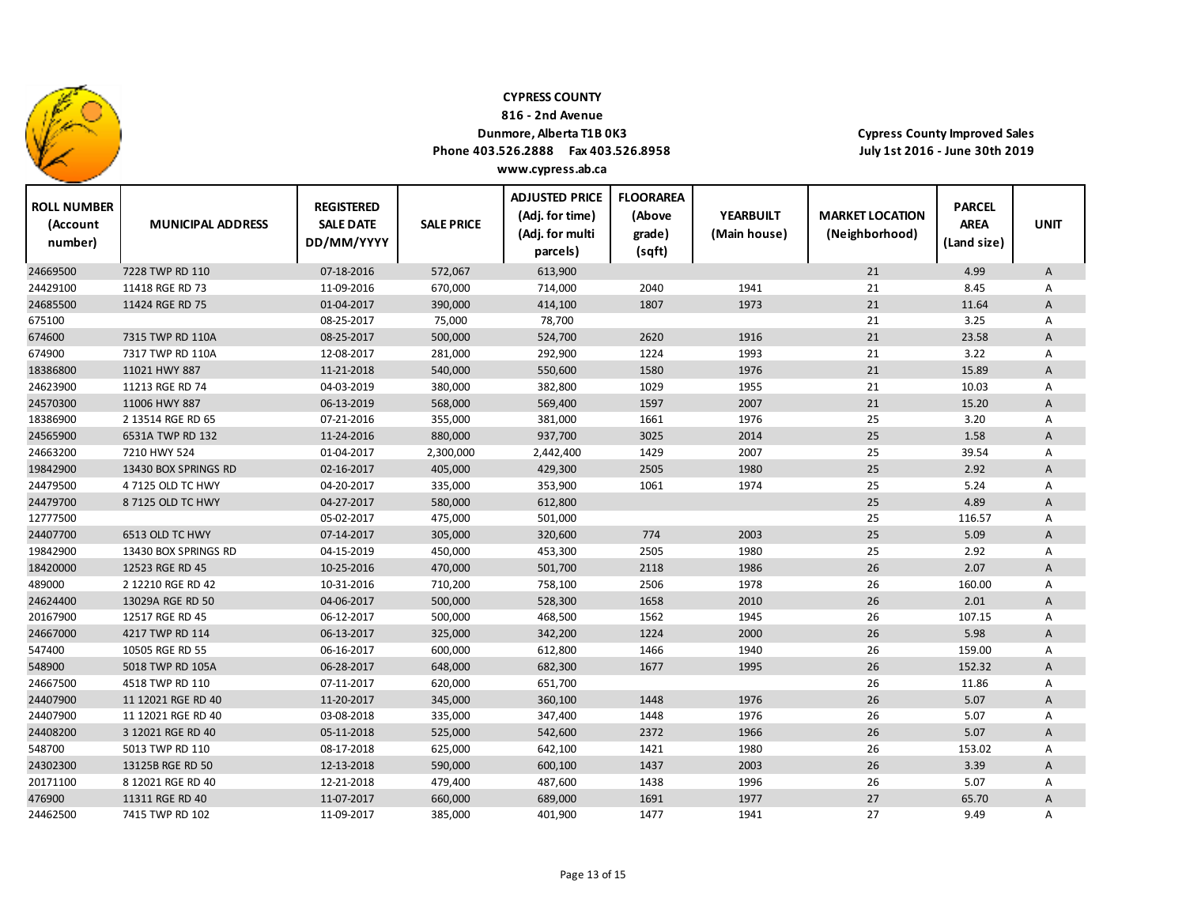

**816 ‐ 2nd Avenue**

## **Dunmore, Alberta T1B 0K3**

**Phone 403.526.2888 Fax 403.526.8958 www.cypress.ab.ca**

| <b>ROLL NUMBER</b><br>(Account<br>number) | <b>MUNICIPAL ADDRESS</b> | <b>REGISTERED</b><br><b>SALE DATE</b><br>DD/MM/YYYY | <b>SALE PRICE</b> | <b>ADJUSTED PRICE</b><br>(Adj. for time)<br>(Adj. for multi<br>parcels) | <b>FLOORAREA</b><br>(Above<br>grade)<br>(sqft) | <b>YEARBUILT</b><br>(Main house) | <b>MARKET LOCATION</b><br>(Neighborhood) | <b>PARCEL</b><br><b>AREA</b><br>(Land size) | <b>UNIT</b>    |
|-------------------------------------------|--------------------------|-----------------------------------------------------|-------------------|-------------------------------------------------------------------------|------------------------------------------------|----------------------------------|------------------------------------------|---------------------------------------------|----------------|
| 24669500                                  | 7228 TWP RD 110          | 07-18-2016                                          | 572,067           | 613,900                                                                 |                                                |                                  | 21                                       | 4.99                                        | $\mathsf{A}$   |
| 24429100                                  | 11418 RGE RD 73          | 11-09-2016                                          | 670,000           | 714,000                                                                 | 2040                                           | 1941                             | 21                                       | 8.45                                        | Α              |
| 24685500                                  | 11424 RGE RD 75          | 01-04-2017                                          | 390,000           | 414,100                                                                 | 1807                                           | 1973                             | 21                                       | 11.64                                       | $\overline{A}$ |
| 675100                                    |                          | 08-25-2017                                          | 75,000            | 78,700                                                                  |                                                |                                  | 21                                       | 3.25                                        | Α              |
| 674600                                    | 7315 TWP RD 110A         | 08-25-2017                                          | 500,000           | 524,700                                                                 | 2620                                           | 1916                             | 21                                       | 23.58                                       | A              |
| 674900                                    | 7317 TWP RD 110A         | 12-08-2017                                          | 281,000           | 292,900                                                                 | 1224                                           | 1993                             | 21                                       | 3.22                                        | Α              |
| 18386800                                  | 11021 HWY 887            | 11-21-2018                                          | 540,000           | 550,600                                                                 | 1580                                           | 1976                             | 21                                       | 15.89                                       | $\mathsf{A}$   |
| 24623900                                  | 11213 RGE RD 74          | 04-03-2019                                          | 380,000           | 382,800                                                                 | 1029                                           | 1955                             | 21                                       | 10.03                                       | A              |
| 24570300                                  | 11006 HWY 887            | 06-13-2019                                          | 568,000           | 569,400                                                                 | 1597                                           | 2007                             | 21                                       | 15.20                                       | A              |
| 18386900                                  | 2 13514 RGE RD 65        | 07-21-2016                                          | 355,000           | 381,000                                                                 | 1661                                           | 1976                             | 25                                       | 3.20                                        | Α              |
| 24565900                                  | 6531A TWP RD 132         | 11-24-2016                                          | 880,000           | 937,700                                                                 | 3025                                           | 2014                             | 25                                       | 1.58                                        | $\mathsf{A}$   |
| 24663200                                  | 7210 HWY 524             | 01-04-2017                                          | 2,300,000         | 2,442,400                                                               | 1429                                           | 2007                             | 25                                       | 39.54                                       | A              |
| 19842900                                  | 13430 BOX SPRINGS RD     | 02-16-2017                                          | 405,000           | 429,300                                                                 | 2505                                           | 1980                             | 25                                       | 2.92                                        | $\mathsf{A}$   |
| 24479500                                  | 4 7125 OLD TC HWY        | 04-20-2017                                          | 335,000           | 353,900                                                                 | 1061                                           | 1974                             | 25                                       | 5.24                                        | A              |
| 24479700                                  | 8 7125 OLD TC HWY        | 04-27-2017                                          | 580,000           | 612,800                                                                 |                                                |                                  | 25                                       | 4.89                                        | $\overline{A}$ |
| 12777500                                  |                          | 05-02-2017                                          | 475,000           | 501,000                                                                 |                                                |                                  | 25                                       | 116.57                                      | A              |
| 24407700                                  | 6513 OLD TC HWY          | 07-14-2017                                          | 305,000           | 320,600                                                                 | 774                                            | 2003                             | 25                                       | 5.09                                        | $\overline{A}$ |
| 19842900                                  | 13430 BOX SPRINGS RD     | 04-15-2019                                          | 450,000           | 453,300                                                                 | 2505                                           | 1980                             | 25                                       | 2.92                                        | Α              |
| 18420000                                  | 12523 RGE RD 45          | 10-25-2016                                          | 470,000           | 501,700                                                                 | 2118                                           | 1986                             | 26                                       | 2.07                                        | $\overline{A}$ |
| 489000                                    | 2 12210 RGE RD 42        | 10-31-2016                                          | 710,200           | 758,100                                                                 | 2506                                           | 1978                             | 26                                       | 160.00                                      | Α              |
| 24624400                                  | 13029A RGE RD 50         | 04-06-2017                                          | 500,000           | 528,300                                                                 | 1658                                           | 2010                             | 26                                       | 2.01                                        | $\mathsf{A}$   |
| 20167900                                  | 12517 RGE RD 45          | 06-12-2017                                          | 500,000           | 468,500                                                                 | 1562                                           | 1945                             | 26                                       | 107.15                                      | Α              |
| 24667000                                  | 4217 TWP RD 114          | 06-13-2017                                          | 325,000           | 342,200                                                                 | 1224                                           | 2000                             | 26                                       | 5.98                                        | $\mathsf{A}$   |
| 547400                                    | 10505 RGE RD 55          | 06-16-2017                                          | 600,000           | 612,800                                                                 | 1466                                           | 1940                             | 26                                       | 159.00                                      | Α              |
| 548900                                    | 5018 TWP RD 105A         | 06-28-2017                                          | 648,000           | 682,300                                                                 | 1677                                           | 1995                             | 26                                       | 152.32                                      | $\mathsf{A}$   |
| 24667500                                  | 4518 TWP RD 110          | 07-11-2017                                          | 620,000           | 651,700                                                                 |                                                |                                  | 26                                       | 11.86                                       | Α              |
| 24407900                                  | 11 12021 RGE RD 40       | 11-20-2017                                          | 345,000           | 360,100                                                                 | 1448                                           | 1976                             | 26                                       | 5.07                                        | $\mathsf{A}$   |
| 24407900                                  | 11 12021 RGE RD 40       | 03-08-2018                                          | 335,000           | 347,400                                                                 | 1448                                           | 1976                             | 26                                       | 5.07                                        | A              |
| 24408200                                  | 3 12021 RGE RD 40        | 05-11-2018                                          | 525,000           | 542,600                                                                 | 2372                                           | 1966                             | 26                                       | 5.07                                        | $\overline{A}$ |
| 548700                                    | 5013 TWP RD 110          | 08-17-2018                                          | 625,000           | 642,100                                                                 | 1421                                           | 1980                             | 26                                       | 153.02                                      | Α              |
| 24302300                                  | 13125B RGE RD 50         | 12-13-2018                                          | 590,000           | 600,100                                                                 | 1437                                           | 2003                             | 26                                       | 3.39                                        | $\overline{A}$ |
| 20171100                                  | 8 12021 RGE RD 40        | 12-21-2018                                          | 479,400           | 487,600                                                                 | 1438                                           | 1996                             | 26                                       | 5.07                                        | A              |
| 476900                                    | 11311 RGE RD 40          | 11-07-2017                                          | 660,000           | 689,000                                                                 | 1691                                           | 1977                             | 27                                       | 65.70                                       | A              |
| 24462500                                  | 7415 TWP RD 102          | 11-09-2017                                          | 385,000           | 401,900                                                                 | 1477                                           | 1941                             | 27                                       | 9.49                                        | Α              |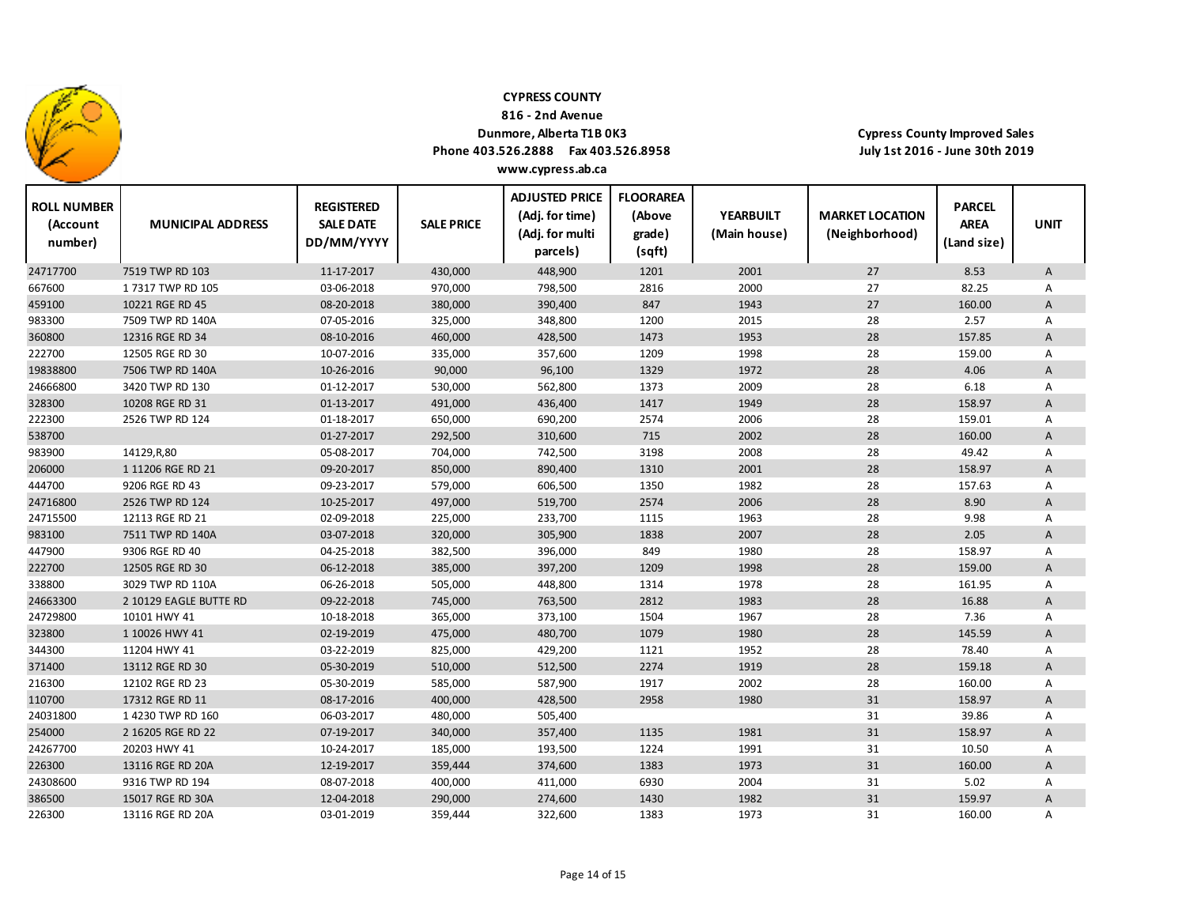

**816 ‐ 2nd Avenue**

## **Dunmore, Alberta T1B 0K3**

**Phone 403.526.2888 Fax 403.526.8958 www.cypress.ab.ca**

| <b>ROLL NUMBER</b><br>(Account<br>number) | <b>MUNICIPAL ADDRESS</b> | <b>REGISTERED</b><br><b>SALE DATE</b><br>DD/MM/YYYY | <b>SALE PRICE</b> | <b>ADJUSTED PRICE</b><br>(Adj. for time)<br>(Adj. for multi<br>parcels) | <b>FLOORAREA</b><br>(Above<br>grade)<br>(sqft) | <b>YEARBUILT</b><br>(Main house) | <b>MARKET LOCATION</b><br>(Neighborhood) | <b>PARCEL</b><br><b>AREA</b><br>(Land size) | <b>UNIT</b>    |
|-------------------------------------------|--------------------------|-----------------------------------------------------|-------------------|-------------------------------------------------------------------------|------------------------------------------------|----------------------------------|------------------------------------------|---------------------------------------------|----------------|
| 24717700                                  | 7519 TWP RD 103          | 11-17-2017                                          | 430,000           | 448,900                                                                 | 1201                                           | 2001                             | 27                                       | 8.53                                        | A              |
| 667600                                    | 17317 TWP RD 105         | 03-06-2018                                          | 970,000           | 798,500                                                                 | 2816                                           | 2000                             | 27                                       | 82.25                                       | Α              |
| 459100                                    | 10221 RGE RD 45          | 08-20-2018                                          | 380,000           | 390,400                                                                 | 847                                            | 1943                             | 27                                       | 160.00                                      | A              |
| 983300                                    | 7509 TWP RD 140A         | 07-05-2016                                          | 325,000           | 348,800                                                                 | 1200                                           | 2015                             | 28                                       | 2.57                                        | Α              |
| 360800                                    | 12316 RGE RD 34          | 08-10-2016                                          | 460,000           | 428,500                                                                 | 1473                                           | 1953                             | 28                                       | 157.85                                      | A              |
| 222700                                    | 12505 RGE RD 30          | 10-07-2016                                          | 335,000           | 357,600                                                                 | 1209                                           | 1998                             | 28                                       | 159.00                                      | Α              |
| 19838800                                  | 7506 TWP RD 140A         | 10-26-2016                                          | 90,000            | 96,100                                                                  | 1329                                           | 1972                             | 28                                       | 4.06                                        | A              |
| 24666800                                  | 3420 TWP RD 130          | 01-12-2017                                          | 530,000           | 562,800                                                                 | 1373                                           | 2009                             | 28                                       | 6.18                                        | A              |
| 328300                                    | 10208 RGE RD 31          | 01-13-2017                                          | 491,000           | 436,400                                                                 | 1417                                           | 1949                             | 28                                       | 158.97                                      | A              |
| 222300                                    | 2526 TWP RD 124          | 01-18-2017                                          | 650,000           | 690,200                                                                 | 2574                                           | 2006                             | 28                                       | 159.01                                      | Α              |
| 538700                                    |                          | 01-27-2017                                          | 292,500           | 310,600                                                                 | 715                                            | 2002                             | 28                                       | 160.00                                      | A              |
| 983900                                    | 14129, R, 80             | 05-08-2017                                          | 704,000           | 742,500                                                                 | 3198                                           | 2008                             | 28                                       | 49.42                                       | Α              |
| 206000                                    | 1 11206 RGE RD 21        | 09-20-2017                                          | 850,000           | 890,400                                                                 | 1310                                           | 2001                             | 28                                       | 158.97                                      | $\overline{A}$ |
| 444700                                    | 9206 RGE RD 43           | 09-23-2017                                          | 579,000           | 606,500                                                                 | 1350                                           | 1982                             | 28                                       | 157.63                                      | Α              |
| 24716800                                  | 2526 TWP RD 124          | 10-25-2017                                          | 497,000           | 519,700                                                                 | 2574                                           | 2006                             | 28                                       | 8.90                                        | $\overline{A}$ |
| 24715500                                  | 12113 RGE RD 21          | 02-09-2018                                          | 225,000           | 233,700                                                                 | 1115                                           | 1963                             | 28                                       | 9.98                                        | Α              |
| 983100                                    | 7511 TWP RD 140A         | 03-07-2018                                          | 320,000           | 305,900                                                                 | 1838                                           | 2007                             | 28                                       | 2.05                                        | $\overline{A}$ |
| 447900                                    | 9306 RGE RD 40           | 04-25-2018                                          | 382,500           | 396,000                                                                 | 849                                            | 1980                             | 28                                       | 158.97                                      | Α              |
| 222700                                    | 12505 RGE RD 30          | 06-12-2018                                          | 385,000           | 397,200                                                                 | 1209                                           | 1998                             | 28                                       | 159.00                                      | A              |
| 338800                                    | 3029 TWP RD 110A         | 06-26-2018                                          | 505,000           | 448,800                                                                 | 1314                                           | 1978                             | 28                                       | 161.95                                      | Α              |
| 24663300                                  | 2 10129 EAGLE BUTTE RD   | 09-22-2018                                          | 745,000           | 763,500                                                                 | 2812                                           | 1983                             | 28                                       | 16.88                                       | A              |
| 24729800                                  | 10101 HWY 41             | 10-18-2018                                          | 365,000           | 373,100                                                                 | 1504                                           | 1967                             | 28                                       | 7.36                                        | A              |
| 323800                                    | 1 10026 HWY 41           | 02-19-2019                                          | 475,000           | 480,700                                                                 | 1079                                           | 1980                             | 28                                       | 145.59                                      | A              |
| 344300                                    | 11204 HWY 41             | 03-22-2019                                          | 825,000           | 429,200                                                                 | 1121                                           | 1952                             | 28                                       | 78.40                                       | $\overline{A}$ |
| 371400                                    | 13112 RGE RD 30          | 05-30-2019                                          | 510,000           | 512,500                                                                 | 2274                                           | 1919                             | 28                                       | 159.18                                      | A              |
| 216300                                    | 12102 RGE RD 23          | 05-30-2019                                          | 585,000           | 587,900                                                                 | 1917                                           | 2002                             | 28                                       | 160.00                                      | A              |
| 110700                                    | 17312 RGE RD 11          | 08-17-2016                                          | 400,000           | 428,500                                                                 | 2958                                           | 1980                             | 31                                       | 158.97                                      | A              |
| 24031800                                  | 14230 TWP RD 160         | 06-03-2017                                          | 480,000           | 505,400                                                                 |                                                |                                  | 31                                       | 39.86                                       | Α              |
| 254000                                    | 2 16205 RGE RD 22        | 07-19-2017                                          | 340,000           | 357,400                                                                 | 1135                                           | 1981                             | 31                                       | 158.97                                      | A              |
| 24267700                                  | 20203 HWY 41             | 10-24-2017                                          | 185,000           | 193,500                                                                 | 1224                                           | 1991                             | 31                                       | 10.50                                       | Α              |
| 226300                                    | 13116 RGE RD 20A         | 12-19-2017                                          | 359,444           | 374,600                                                                 | 1383                                           | 1973                             | 31                                       | 160.00                                      | A              |
| 24308600                                  | 9316 TWP RD 194          | 08-07-2018                                          | 400,000           | 411,000                                                                 | 6930                                           | 2004                             | 31                                       | 5.02                                        | A              |
| 386500                                    | 15017 RGE RD 30A         | 12-04-2018                                          | 290,000           | 274,600                                                                 | 1430                                           | 1982                             | 31                                       | 159.97                                      | A              |
| 226300                                    | 13116 RGE RD 20A         | 03-01-2019                                          | 359,444           | 322,600                                                                 | 1383                                           | 1973                             | 31                                       | 160.00                                      | Α              |